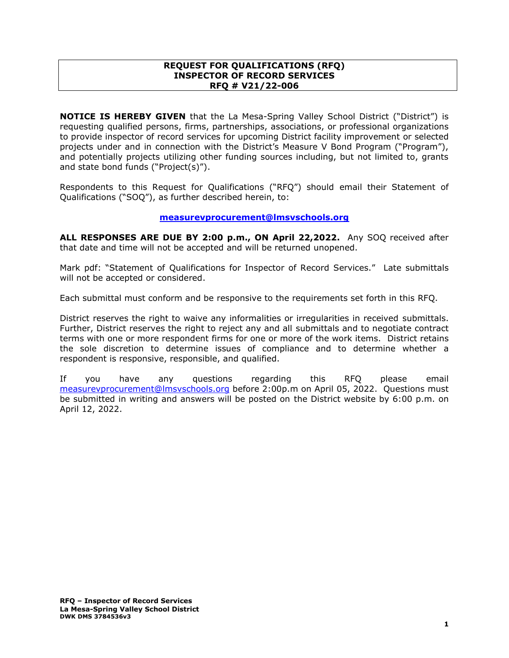#### **REQUEST FOR QUALIFICATIONS (RFQ) INSPECTOR OF RECORD SERVICES RFQ # V21/22-006**

**NOTICE IS HEREBY GIVEN** that the La Mesa-Spring Valley School District ("District") is requesting qualified persons, firms, partnerships, associations, or professional organizations to provide inspector of record services for upcoming District facility improvement or selected projects under and in connection with the District's Measure V Bond Program ("Program"), and potentially projects utilizing other funding sources including, but not limited to, grants and state bond funds ("Project(s)").

Respondents to this Request for Qualifications ("RFQ") should email their Statement of Qualifications ("SOQ"), as further described herein, to:

#### **[measurevprocurement@lmsvschools.org](mailto:measurevprocurement@lmsvschools.org)**

**ALL RESPONSES ARE DUE BY 2:00 p.m., ON April 22,2022.** Any SOQ received after that date and time will not be accepted and will be returned unopened.

Mark pdf: "Statement of Qualifications for Inspector of Record Services." Late submittals will not be accepted or considered.

Each submittal must conform and be responsive to the requirements set forth in this RFQ.

District reserves the right to waive any informalities or irregularities in received submittals. Further, District reserves the right to reject any and all submittals and to negotiate contract terms with one or more respondent firms for one or more of the work items. District retains the sole discretion to determine issues of compliance and to determine whether a respondent is responsive, responsible, and qualified.

If you have any questions regarding this RFQ please email [measurevprocurement@lmsvschools.org](mailto:measurevprocurement@lmsvschools.org) before 2:00p.m on April 05, 2022. Questions must be submitted in writing and answers will be posted on the District website by 6:00 p.m. on April 12, 2022.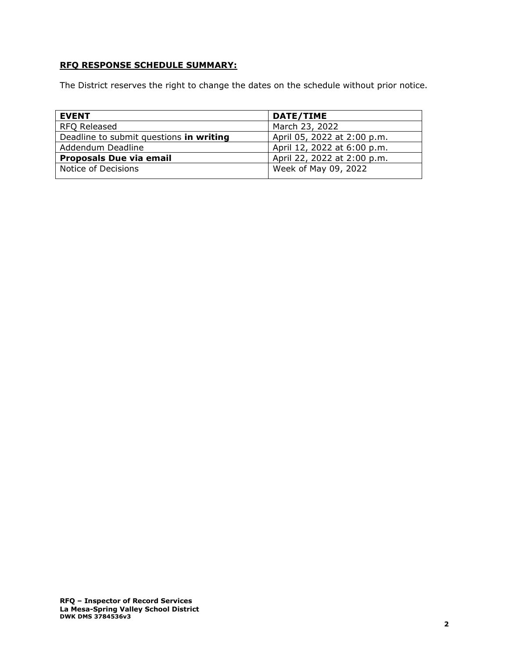# **RFQ RESPONSE SCHEDULE SUMMARY:**

The District reserves the right to change the dates on the schedule without prior notice.

| <b>EVENT</b>                            | DATE/TIME                   |
|-----------------------------------------|-----------------------------|
| RFQ Released                            | March 23, 2022              |
| Deadline to submit questions in writing | April 05, 2022 at 2:00 p.m. |
| Addendum Deadline                       | April 12, 2022 at 6:00 p.m. |
| <b>Proposals Due via email</b>          | April 22, 2022 at 2:00 p.m. |
| Notice of Decisions                     | Week of May 09, 2022        |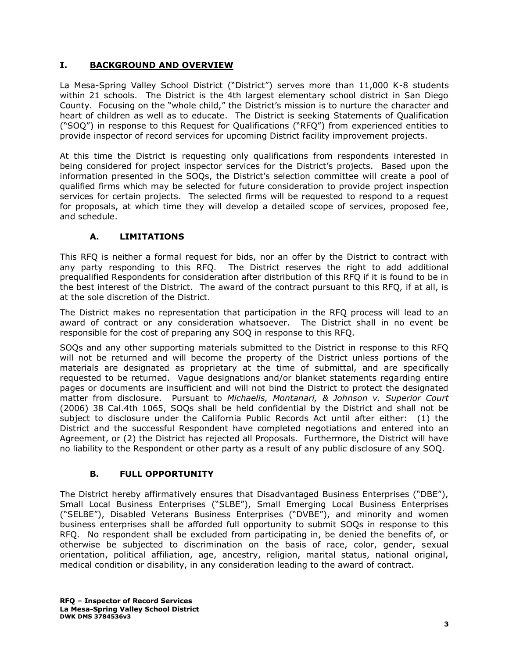# **I. BACKGROUND AND OVERVIEW**

La Mesa-Spring Valley School District ("District") serves more than 11,000 K-8 students within 21 schools. The District is the 4th largest elementary school district in San Diego County. Focusing on the "whole child," the District's mission is to nurture the character and heart of children as well as to educate. The District is seeking Statements of Qualification ("SOQ") in response to this Request for Qualifications ("RFQ") from experienced entities to provide inspector of record services for upcoming District facility improvement projects.

At this time the District is requesting only qualifications from respondents interested in being considered for project inspector services for the District's projects. Based upon the information presented in the SOQs, the District's selection committee will create a pool of qualified firms which may be selected for future consideration to provide project inspection services for certain projects. The selected firms will be requested to respond to a request for proposals, at which time they will develop a detailed scope of services, proposed fee, and schedule.

# **A. LIMITATIONS**

This RFQ is neither a formal request for bids, nor an offer by the District to contract with any party responding to this RFQ. The District reserves the right to add additional prequalified Respondents for consideration after distribution of this RFQ if it is found to be in the best interest of the District. The award of the contract pursuant to this RFQ, if at all, is at the sole discretion of the District.

The District makes no representation that participation in the RFQ process will lead to an award of contract or any consideration whatsoever. The District shall in no event be responsible for the cost of preparing any SOQ in response to this RFQ.

SOQs and any other supporting materials submitted to the District in response to this RFQ will not be returned and will become the property of the District unless portions of the materials are designated as proprietary at the time of submittal, and are specifically requested to be returned. Vague designations and/or blanket statements regarding entire pages or documents are insufficient and will not bind the District to protect the designated matter from disclosure. Pursuant to *Michaelis, Montanari, & Johnson v. Superior Court* (2006) 38 Cal.4th 1065, SOQs shall be held confidential by the District and shall not be subject to disclosure under the California Public Records Act until after either: (1) the District and the successful Respondent have completed negotiations and entered into an Agreement, or (2) the District has rejected all Proposals. Furthermore, the District will have no liability to the Respondent or other party as a result of any public disclosure of any SOQ.

## **B. FULL OPPORTUNITY**

The District hereby affirmatively ensures that Disadvantaged Business Enterprises ("DBE"), Small Local Business Enterprises ("SLBE"), Small Emerging Local Business Enterprises ("SELBE"), Disabled Veterans Business Enterprises ("DVBE"), and minority and women business enterprises shall be afforded full opportunity to submit SOQs in response to this RFQ. No respondent shall be excluded from participating in, be denied the benefits of, or otherwise be subjected to discrimination on the basis of race, color, gender, sexual orientation, political affiliation, age, ancestry, religion, marital status, national original, medical condition or disability, in any consideration leading to the award of contract.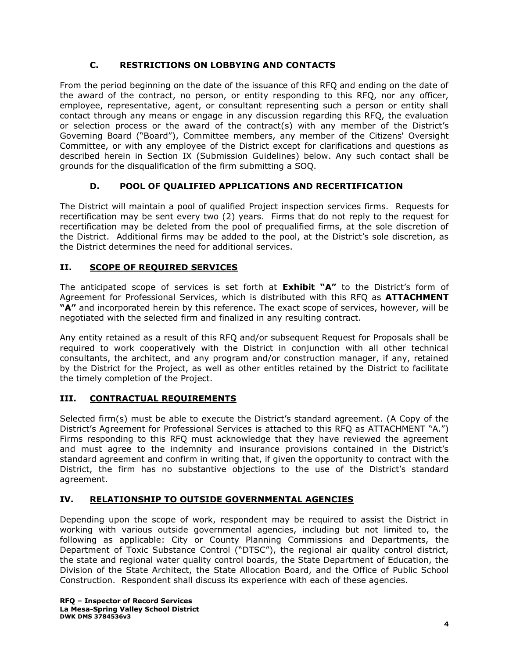# **C. RESTRICTIONS ON LOBBYING AND CONTACTS**

From the period beginning on the date of the issuance of this RFQ and ending on the date of the award of the contract, no person, or entity responding to this RFQ, nor any officer, employee, representative, agent, or consultant representing such a person or entity shall contact through any means or engage in any discussion regarding this RFQ, the evaluation or selection process or the award of the contract(s) with any member of the District's Governing Board ("Board"), Committee members, any member of the Citizens' Oversight Committee, or with any employee of the District except for clarifications and questions as described herein in Section IX (Submission Guidelines) below. Any such contact shall be grounds for the disqualification of the firm submitting a SOQ.

# **D. POOL OF QUALIFIED APPLICATIONS AND RECERTIFICATION**

The District will maintain a pool of qualified Project inspection services firms. Requests for recertification may be sent every two (2) years. Firms that do not reply to the request for recertification may be deleted from the pool of prequalified firms, at the sole discretion of the District. Additional firms may be added to the pool, at the District's sole discretion, as the District determines the need for additional services.

# **II. SCOPE OF REQUIRED SERVICES**

The anticipated scope of services is set forth at **Exhibit "A"** to the District's form of Agreement for Professional Services, which is distributed with this RFQ as **ATTACHMENT "A"** and incorporated herein by this reference. The exact scope of services, however, will be negotiated with the selected firm and finalized in any resulting contract.

Any entity retained as a result of this RFQ and/or subsequent Request for Proposals shall be required to work cooperatively with the District in conjunction with all other technical consultants, the architect, and any program and/or construction manager, if any, retained by the District for the Project, as well as other entitles retained by the District to facilitate the timely completion of the Project.

## **III. CONTRACTUAL REQUIREMENTS**

Selected firm(s) must be able to execute the District's standard agreement. (A Copy of the District's Agreement for Professional Services is attached to this RFQ as ATTACHMENT "A.") Firms responding to this RFQ must acknowledge that they have reviewed the agreement and must agree to the indemnity and insurance provisions contained in the District's standard agreement and confirm in writing that, if given the opportunity to contract with the District, the firm has no substantive objections to the use of the District's standard agreement.

## **IV. RELATIONSHIP TO OUTSIDE GOVERNMENTAL AGENCIES**

Depending upon the scope of work, respondent may be required to assist the District in working with various outside governmental agencies, including but not limited to, the following as applicable: City or County Planning Commissions and Departments, the Department of Toxic Substance Control ("DTSC"), the regional air quality control district, the state and regional water quality control boards, the State Department of Education, the Division of the State Architect, the State Allocation Board, and the Office of Public School Construction. Respondent shall discuss its experience with each of these agencies.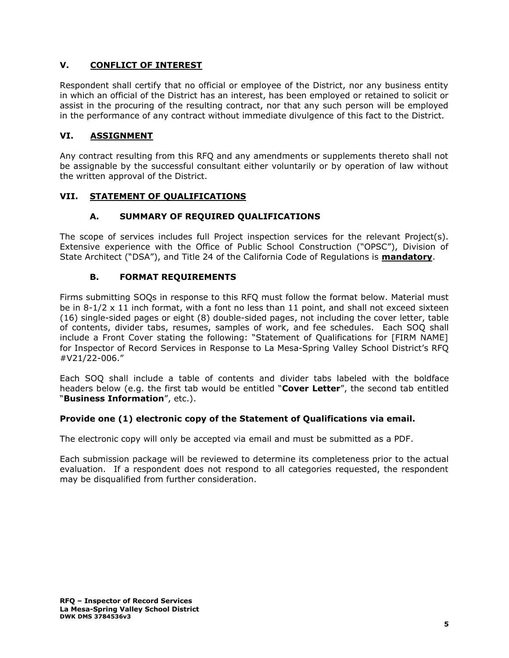# **V. CONFLICT OF INTEREST**

Respondent shall certify that no official or employee of the District, nor any business entity in which an official of the District has an interest, has been employed or retained to solicit or assist in the procuring of the resulting contract, nor that any such person will be employed in the performance of any contract without immediate divulgence of this fact to the District.

## **VI. ASSIGNMENT**

Any contract resulting from this RFQ and any amendments or supplements thereto shall not be assignable by the successful consultant either voluntarily or by operation of law without the written approval of the District.

# **VII. STATEMENT OF QUALIFICATIONS**

# **A. SUMMARY OF REQUIRED QUALIFICATIONS**

The scope of services includes full Project inspection services for the relevant Project(s). Extensive experience with the Office of Public School Construction ("OPSC"), Division of State Architect ("DSA"), and Title 24 of the California Code of Regulations is **mandatory**.

## **B. FORMAT REQUIREMENTS**

Firms submitting SOQs in response to this RFQ must follow the format below. Material must be in 8-1/2 x 11 inch format, with a font no less than 11 point, and shall not exceed sixteen (16) single-sided pages or eight (8) double-sided pages, not including the cover letter, table of contents, divider tabs, resumes, samples of work, and fee schedules. Each SOQ shall include a Front Cover stating the following: "Statement of Qualifications for [FIRM NAME] for Inspector of Record Services in Response to La Mesa-Spring Valley School District's RFQ #V21/22-006."

Each SOQ shall include a table of contents and divider tabs labeled with the boldface headers below (e.g. the first tab would be entitled "**Cover Letter**", the second tab entitled "**Business Information**", etc.).

## **Provide one (1) electronic copy of the Statement of Qualifications via email.**

The electronic copy will only be accepted via email and must be submitted as a PDF.

Each submission package will be reviewed to determine its completeness prior to the actual evaluation. If a respondent does not respond to all categories requested, the respondent may be disqualified from further consideration.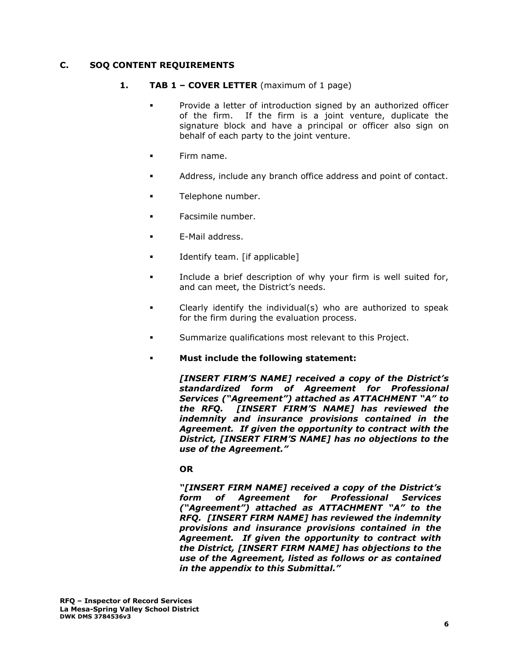#### **C. SOQ CONTENT REQUIREMENTS**

- **1. TAB 1 – COVER LETTER** (maximum of 1 page)
	- Provide a letter of introduction signed by an authorized officer of the firm. If the firm is a joint venture, duplicate the signature block and have a principal or officer also sign on behalf of each party to the joint venture.
	- Firm name.
	- Address, include any branch office address and point of contact.
	- **■** Telephone number.
	- Facsimile number.
	- E-Mail address.
	- Identify team. [if applicable]
	- Include a brief description of why your firm is well suited for, and can meet, the District's needs.
	- Clearly identify the individual(s) who are authorized to speak for the firm during the evaluation process.
	- Summarize qualifications most relevant to this Project.
	- **Must include the following statement:**

*[INSERT FIRM'S NAME] received a copy of the District's standardized form of Agreement for Professional Services ("Agreement") attached as ATTACHMENT "A" to the RFQ. [INSERT FIRM'S NAME] has reviewed the indemnity and insurance provisions contained in the Agreement. If given the opportunity to contract with the District, [INSERT FIRM'S NAME] has no objections to the use of the Agreement."* 

#### **OR**

*"[INSERT FIRM NAME] received a copy of the District's form of Agreement for Professional Services ("Agreement") attached as ATTACHMENT "A" to the RFQ. [INSERT FIRM NAME] has reviewed the indemnity provisions and insurance provisions contained in the Agreement. If given the opportunity to contract with the District, [INSERT FIRM NAME] has objections to the use of the Agreement, listed as follows or as contained in the appendix to this Submittal."*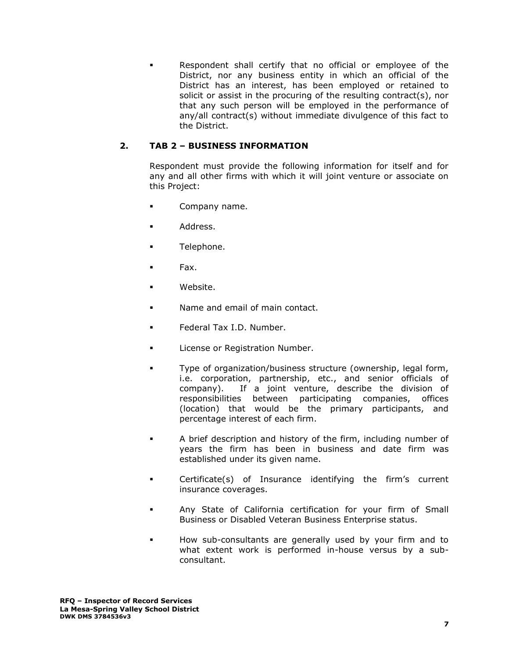Respondent shall certify that no official or employee of the District, nor any business entity in which an official of the District has an interest, has been employed or retained to solicit or assist in the procuring of the resulting contract(s), nor that any such person will be employed in the performance of any/all contract(s) without immediate divulgence of this fact to the District.

# **2. TAB 2 – BUSINESS INFORMATION**

Respondent must provide the following information for itself and for any and all other firms with which it will joint venture or associate on this Project:

- Company name.
- Address.
- Telephone.
- Fax.
- Website.
- Name and email of main contact.
- Federal Tax I.D. Number.
- License or Registration Number.
- Type of organization/business structure (ownership, legal form, i.e. corporation, partnership, etc., and senior officials of company). If a joint venture, describe the division of responsibilities between participating companies, offices (location) that would be the primary participants, and percentage interest of each firm.
- A brief description and history of the firm, including number of years the firm has been in business and date firm was established under its given name.
- Certificate(s) of Insurance identifying the firm's current insurance coverages.
- Any State of California certification for your firm of Small Business or Disabled Veteran Business Enterprise status.
- How sub-consultants are generally used by your firm and to what extent work is performed in-house versus by a subconsultant.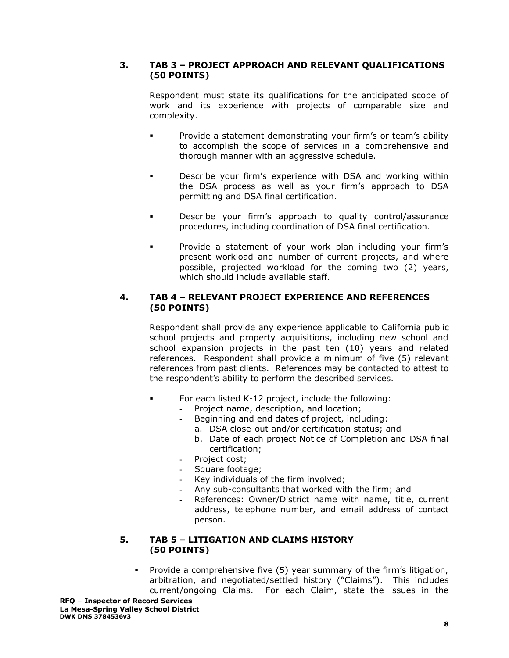## **3. TAB 3 – PROJECT APPROACH AND RELEVANT QUALIFICATIONS (50 POINTS)**

Respondent must state its qualifications for the anticipated scope of work and its experience with projects of comparable size and complexity.

- Provide a statement demonstrating your firm's or team's ability to accomplish the scope of services in a comprehensive and thorough manner with an aggressive schedule.
- Describe your firm's experience with DSA and working within the DSA process as well as your firm's approach to DSA permitting and DSA final certification.
- Describe your firm's approach to quality control/assurance procedures, including coordination of DSA final certification.
- Provide a statement of your work plan including your firm's present workload and number of current projects, and where possible, projected workload for the coming two (2) years, which should include available staff.

### **4. TAB 4 – RELEVANT PROJECT EXPERIENCE AND REFERENCES (50 POINTS)**

Respondent shall provide any experience applicable to California public school projects and property acquisitions, including new school and school expansion projects in the past ten (10) years and related references. Respondent shall provide a minimum of five (5) relevant references from past clients. References may be contacted to attest to the respondent's ability to perform the described services.

- For each listed K-12 project, include the following:
	- **-** Project name, description, and location;
		- **-** Beginning and end dates of project, including:
			- a. DSA close-out and/or certification status; and
			- b. Date of each project Notice of Completion and DSA final certification;
	- **-** Project cost;
	- **-** Square footage;
	- **-** Key individuals of the firm involved;
	- **-** Any sub-consultants that worked with the firm; and
	- **-** References: Owner/District name with name, title, current address, telephone number, and email address of contact person.

#### **5. TAB 5 – LITIGATION AND CLAIMS HISTORY (50 POINTS)**

Provide a comprehensive five (5) year summary of the firm's litigation, arbitration, and negotiated/settled history ("Claims"). This includes current/ongoing Claims. For each Claim, state the issues in the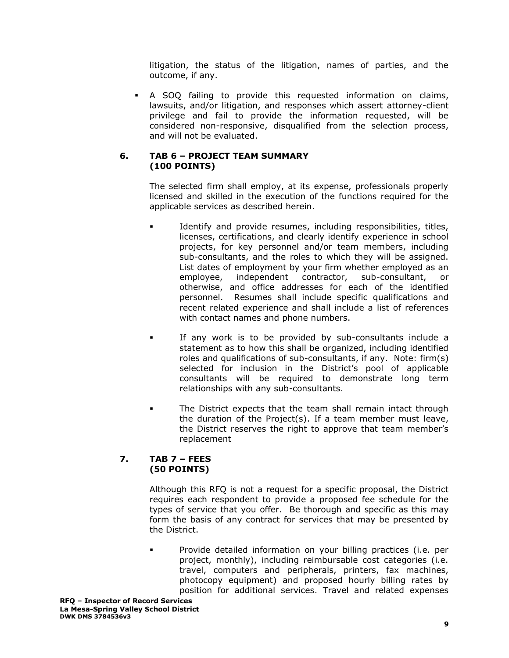litigation, the status of the litigation, names of parties, and the outcome, if any.

A SOQ failing to provide this requested information on claims, lawsuits, and/or litigation, and responses which assert attorney-client privilege and fail to provide the information requested, will be considered non-responsive, disqualified from the selection process, and will not be evaluated.

### **6. TAB 6 – PROJECT TEAM SUMMARY (100 POINTS)**

The selected firm shall employ, at its expense, professionals properly licensed and skilled in the execution of the functions required for the applicable services as described herein.

- Identify and provide resumes, including responsibilities, titles, licenses, certifications, and clearly identify experience in school projects, for key personnel and/or team members, including sub-consultants, and the roles to which they will be assigned. List dates of employment by your firm whether employed as an employee, independent contractor, sub-consultant, or otherwise, and office addresses for each of the identified personnel. Resumes shall include specific qualifications and recent related experience and shall include a list of references with contact names and phone numbers.
- If any work is to be provided by sub-consultants include a statement as to how this shall be organized, including identified roles and qualifications of sub-consultants, if any. Note: firm(s) selected for inclusion in the District's pool of applicable consultants will be required to demonstrate long term relationships with any sub-consultants.
- The District expects that the team shall remain intact through the duration of the Project(s). If a team member must leave, the District reserves the right to approve that team member's replacement

#### **7. TAB 7 – FEES (50 POINTS)**

Although this RFQ is not a request for a specific proposal, the District requires each respondent to provide a proposed fee schedule for the types of service that you offer. Be thorough and specific as this may form the basis of any contract for services that may be presented by the District.

▪ Provide detailed information on your billing practices (i.e. per project, monthly), including reimbursable cost categories (i.e. travel, computers and peripherals, printers, fax machines, photocopy equipment) and proposed hourly billing rates by position for additional services. Travel and related expenses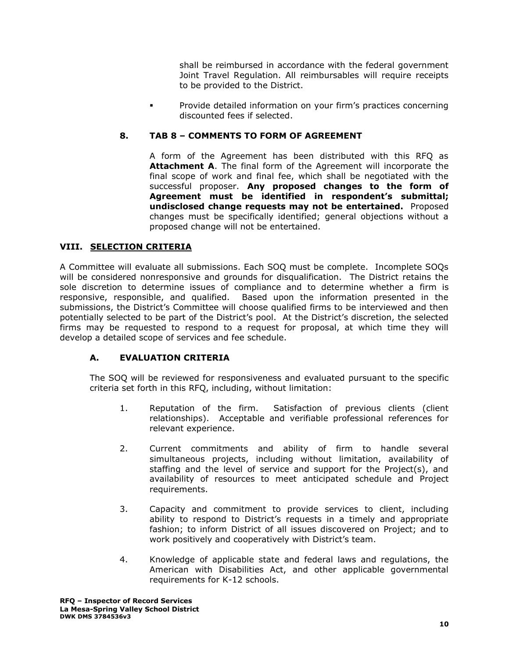shall be reimbursed in accordance with the federal government Joint Travel Regulation. All reimbursables will require receipts to be provided to the District.

Provide detailed information on your firm's practices concerning discounted fees if selected.

### **8. TAB 8 – COMMENTS TO FORM OF AGREEMENT**

A form of the Agreement has been distributed with this RFQ as **Attachment A**. The final form of the Agreement will incorporate the final scope of work and final fee, which shall be negotiated with the successful proposer. **Any proposed changes to the form of Agreement must be identified in respondent's submittal; undisclosed change requests may not be entertained.** Proposed changes must be specifically identified; general objections without a proposed change will not be entertained.

## **VIII. SELECTION CRITERIA**

A Committee will evaluate all submissions. Each SOQ must be complete. Incomplete SOQs will be considered nonresponsive and grounds for disqualification. The District retains the sole discretion to determine issues of compliance and to determine whether a firm is responsive, responsible, and qualified. Based upon the information presented in the submissions, the District's Committee will choose qualified firms to be interviewed and then potentially selected to be part of the District's pool. At the District's discretion, the selected firms may be requested to respond to a request for proposal, at which time they will develop a detailed scope of services and fee schedule.

## **A. EVALUATION CRITERIA**

The SOQ will be reviewed for responsiveness and evaluated pursuant to the specific criteria set forth in this RFQ, including, without limitation:

- 1. Reputation of the firm. Satisfaction of previous clients (client relationships). Acceptable and verifiable professional references for relevant experience.
- 2. Current commitments and ability of firm to handle several simultaneous projects, including without limitation, availability of staffing and the level of service and support for the Project(s), and availability of resources to meet anticipated schedule and Project requirements.
- 3. Capacity and commitment to provide services to client, including ability to respond to District's requests in a timely and appropriate fashion; to inform District of all issues discovered on Project; and to work positively and cooperatively with District's team.
- 4. Knowledge of applicable state and federal laws and regulations, the American with Disabilities Act, and other applicable governmental requirements for K-12 schools.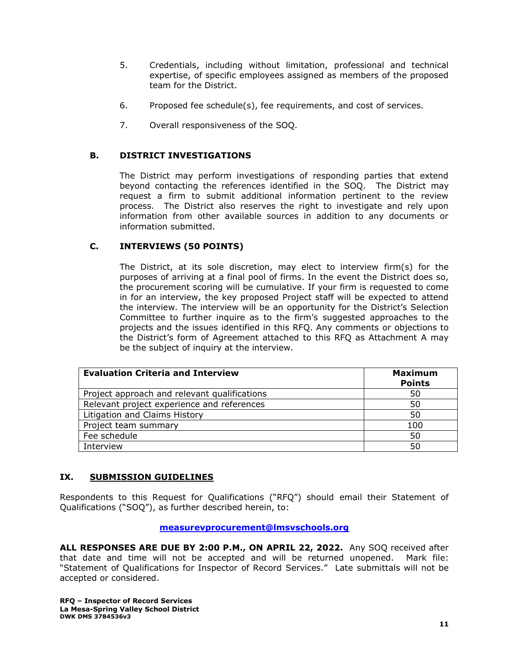- 5. Credentials, including without limitation, professional and technical expertise, of specific employees assigned as members of the proposed team for the District.
- 6. Proposed fee schedule(s), fee requirements, and cost of services.
- 7. Overall responsiveness of the SOQ.

#### **B. DISTRICT INVESTIGATIONS**

The District may perform investigations of responding parties that extend beyond contacting the references identified in the SOQ. The District may request a firm to submit additional information pertinent to the review process. The District also reserves the right to investigate and rely upon information from other available sources in addition to any documents or information submitted.

## **C. INTERVIEWS (50 POINTS)**

The District, at its sole discretion, may elect to interview firm(s) for the purposes of arriving at a final pool of firms. In the event the District does so, the procurement scoring will be cumulative. If your firm is requested to come in for an interview, the key proposed Project staff will be expected to attend the interview. The interview will be an opportunity for the District's Selection Committee to further inquire as to the firm's suggested approaches to the projects and the issues identified in this RFQ. Any comments or objections to the District's form of Agreement attached to this RFQ as Attachment A may be the subject of inquiry at the interview.

| <b>Evaluation Criteria and Interview</b>     | <b>Maximum</b><br><b>Points</b> |
|----------------------------------------------|---------------------------------|
| Project approach and relevant qualifications | 50                              |
| Relevant project experience and references   | 50                              |
| Litigation and Claims History                | 50                              |
| Project team summary                         | 100                             |
| Fee schedule                                 | 50                              |
| Interview                                    | 50                              |

#### **IX. SUBMISSION GUIDELINES**

Respondents to this Request for Qualifications ("RFQ") should email their Statement of Qualifications ("SOQ"), as further described herein, to:

#### **[measurevprocurement@lmsvschools.org](mailto:measurevprocurement@lmsvschools.org)**

**ALL RESPONSES ARE DUE BY 2:00 P.M., ON APRIL 22, 2022.** Any SOQ received after that date and time will not be accepted and will be returned unopened. Mark file: "Statement of Qualifications for Inspector of Record Services." Late submittals will not be accepted or considered.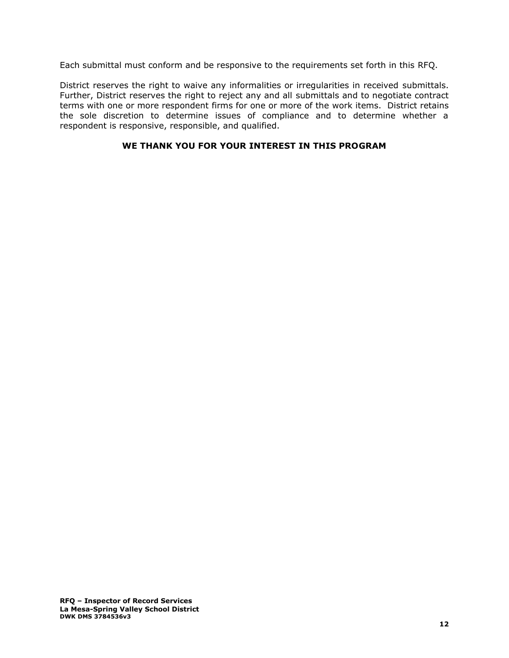Each submittal must conform and be responsive to the requirements set forth in this RFQ.

District reserves the right to waive any informalities or irregularities in received submittals. Further, District reserves the right to reject any and all submittals and to negotiate contract terms with one or more respondent firms for one or more of the work items. District retains the sole discretion to determine issues of compliance and to determine whether a respondent is responsive, responsible, and qualified.

### **WE THANK YOU FOR YOUR INTEREST IN THIS PROGRAM**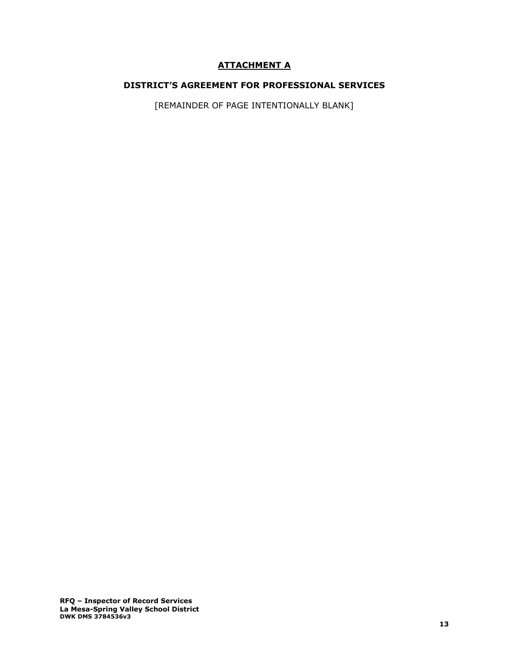# **ATTACHMENT A**

### **DISTRICT'S AGREEMENT FOR PROFESSIONAL SERVICES**

[REMAINDER OF PAGE INTENTIONALLY BLANK]

**RFQ – Inspector of Record Services La Mesa-Spring Valley School District DWK DMS 3784536v3**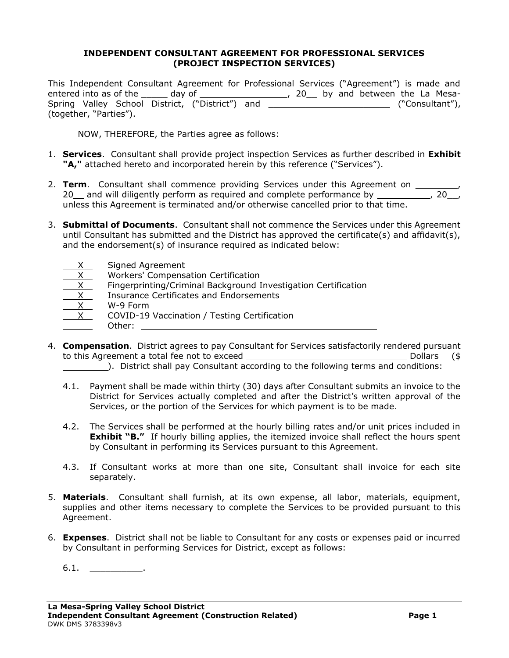#### **INDEPENDENT CONSULTANT AGREEMENT FOR PROFESSIONAL SERVICES (PROJECT INSPECTION SERVICES)**

This Independent Consultant Agreement for Professional Services ("Agreement") is made and entered into as of the \_\_\_\_\_\_\_ day of \_\_\_\_\_\_\_\_\_\_\_\_\_\_\_\_\_\_\_\_\_\_\_\_, 20\_\_\_ by and between the La Mesa-Spring Valley School District, ("District") and \_\_\_\_\_\_\_\_\_\_\_\_\_\_\_\_\_\_\_\_\_\_\_ ("Consultant"), (together, "Parties").

NOW, THEREFORE, the Parties agree as follows:

- 1. **Services**. Consultant shall provide project inspection Services as further described in **Exhibit "A,"** attached hereto and incorporated herein by this reference ("Services").
- 2. **Term**. Consultant shall commence providing Services under this Agreement on \_\_\_\_ 20\_ and will diligently perform as required and complete performance by \_\_\_\_\_\_\_\_, 20\_, unless this Agreement is terminated and/or otherwise cancelled prior to that time.
- 3. **Submittal of Documents**. Consultant shall not commence the Services under this Agreement until Consultant has submitted and the District has approved the certificate(s) and affidavit(s), and the endorsement(s) of insurance required as indicated below:
	- Signed Agreement  $X$  Workers' Compensation Certification<br>
	X Fingerprinting/Criminal Background I Fingerprinting/Criminal Background Investigation Certification  $\frac{X}{X}$  Insurance Certificates and Endorsements<br> $X$  W-9 Form  $\begin{array}{c} X \\ \hline X \end{array}$  W-9 Form COVID-19 Vaccination / Testing Certification Other:
- 4. **Compensation**. District agrees to pay Consultant for Services satisfactorily rendered pursuant to this Agreement a total fee not to exceed Dollars (\$
	- ). District shall pay Consultant according to the following terms and conditions:
	- 4.1. Payment shall be made within thirty (30) days after Consultant submits an invoice to the District for Services actually completed and after the District's written approval of the Services, or the portion of the Services for which payment is to be made.
	- 4.2. The Services shall be performed at the hourly billing rates and/or unit prices included in **Exhibit "B."** If hourly billing applies, the itemized invoice shall reflect the hours spent by Consultant in performing its Services pursuant to this Agreement.
	- 4.3. If Consultant works at more than one site, Consultant shall invoice for each site separately.
- 5. **Materials**. Consultant shall furnish, at its own expense, all labor, materials, equipment, supplies and other items necessary to complete the Services to be provided pursuant to this Agreement.
- 6. **Expenses**. District shall not be liable to Consultant for any costs or expenses paid or incurred by Consultant in performing Services for District, except as follows:

 $6.1.$   $\qquad \qquad$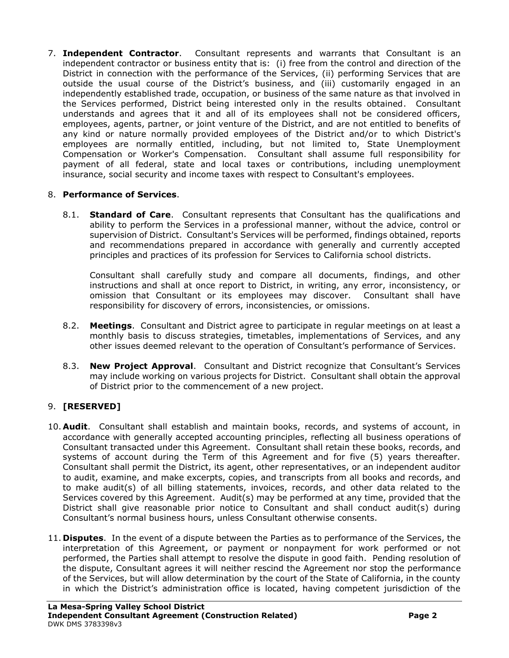7. **Independent Contractor**. Consultant represents and warrants that Consultant is an independent contractor or business entity that is: (i) free from the control and direction of the District in connection with the performance of the Services, (ii) performing Services that are outside the usual course of the District's business, and (iii) customarily engaged in an independently established trade, occupation, or business of the same nature as that involved in the Services performed, District being interested only in the results obtained. Consultant understands and agrees that it and all of its employees shall not be considered officers, employees, agents, partner, or joint venture of the District, and are not entitled to benefits of any kind or nature normally provided employees of the District and/or to which District's employees are normally entitled, including, but not limited to, State Unemployment Compensation or Worker's Compensation. Consultant shall assume full responsibility for payment of all federal, state and local taxes or contributions, including unemployment insurance, social security and income taxes with respect to Consultant's employees.

# 8. **Performance of Services**.

8.1. **Standard of Care**. Consultant represents that Consultant has the qualifications and ability to perform the Services in a professional manner, without the advice, control or supervision of District. Consultant's Services will be performed, findings obtained, reports and recommendations prepared in accordance with generally and currently accepted principles and practices of its profession for Services to California school districts.

Consultant shall carefully study and compare all documents, findings, and other instructions and shall at once report to District, in writing, any error, inconsistency, or omission that Consultant or its employees may discover. Consultant shall have responsibility for discovery of errors, inconsistencies, or omissions.

- 8.2. **Meetings**. Consultant and District agree to participate in regular meetings on at least a monthly basis to discuss strategies, timetables, implementations of Services, and any other issues deemed relevant to the operation of Consultant's performance of Services.
- 8.3. **New Project Approval**. Consultant and District recognize that Consultant's Services may include working on various projects for District. Consultant shall obtain the approval of District prior to the commencement of a new project.

# 9. **[RESERVED]**

- 10. **Audit**. Consultant shall establish and maintain books, records, and systems of account, in accordance with generally accepted accounting principles, reflecting all business operations of Consultant transacted under this Agreement. Consultant shall retain these books, records, and systems of account during the Term of this Agreement and for five (5) years thereafter. Consultant shall permit the District, its agent, other representatives, or an independent auditor to audit, examine, and make excerpts, copies, and transcripts from all books and records, and to make audit(s) of all billing statements, invoices, records, and other data related to the Services covered by this Agreement. Audit(s) may be performed at any time, provided that the District shall give reasonable prior notice to Consultant and shall conduct audit(s) during Consultant's normal business hours, unless Consultant otherwise consents.
- 11. **Disputes**. In the event of a dispute between the Parties as to performance of the Services, the interpretation of this Agreement, or payment or nonpayment for work performed or not performed, the Parties shall attempt to resolve the dispute in good faith. Pending resolution of the dispute, Consultant agrees it will neither rescind the Agreement nor stop the performance of the Services, but will allow determination by the court of the State of California, in the county in which the District's administration office is located, having competent jurisdiction of the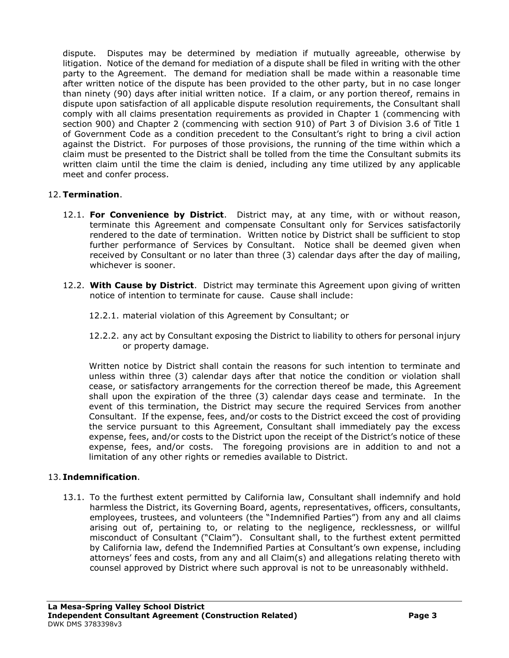dispute. Disputes may be determined by mediation if mutually agreeable, otherwise by litigation. Notice of the demand for mediation of a dispute shall be filed in writing with the other party to the Agreement. The demand for mediation shall be made within a reasonable time after written notice of the dispute has been provided to the other party, but in no case longer than ninety (90) days after initial written notice. If a claim, or any portion thereof, remains in dispute upon satisfaction of all applicable dispute resolution requirements, the Consultant shall comply with all claims presentation requirements as provided in Chapter 1 (commencing with section 900) and Chapter 2 (commencing with section 910) of Part 3 of Division 3.6 of Title 1 of Government Code as a condition precedent to the Consultant's right to bring a civil action against the District. For purposes of those provisions, the running of the time within which a claim must be presented to the District shall be tolled from the time the Consultant submits its written claim until the time the claim is denied, including any time utilized by any applicable meet and confer process.

# 12.**Termination**.

- 12.1. **For Convenience by District**. District may, at any time, with or without reason, terminate this Agreement and compensate Consultant only for Services satisfactorily rendered to the date of termination. Written notice by District shall be sufficient to stop further performance of Services by Consultant. Notice shall be deemed given when received by Consultant or no later than three (3) calendar days after the day of mailing, whichever is sooner.
- 12.2. **With Cause by District**. District may terminate this Agreement upon giving of written notice of intention to terminate for cause. Cause shall include:
	- 12.2.1. material violation of this Agreement by Consultant; or
	- 12.2.2. any act by Consultant exposing the District to liability to others for personal injury or property damage.

Written notice by District shall contain the reasons for such intention to terminate and unless within three (3) calendar days after that notice the condition or violation shall cease, or satisfactory arrangements for the correction thereof be made, this Agreement shall upon the expiration of the three (3) calendar days cease and terminate. In the event of this termination, the District may secure the required Services from another Consultant. If the expense, fees, and/or costs to the District exceed the cost of providing the service pursuant to this Agreement, Consultant shall immediately pay the excess expense, fees, and/or costs to the District upon the receipt of the District's notice of these expense, fees, and/or costs. The foregoing provisions are in addition to and not a limitation of any other rights or remedies available to District.

## 13. **Indemnification**.

13.1. To the furthest extent permitted by California law, Consultant shall indemnify and hold harmless the District, its Governing Board, agents, representatives, officers, consultants, employees, trustees, and volunteers (the "Indemnified Parties") from any and all claims arising out of, pertaining to, or relating to the negligence, recklessness, or willful misconduct of Consultant ("Claim"). Consultant shall, to the furthest extent permitted by California law, defend the Indemnified Parties at Consultant's own expense, including attorneys' fees and costs, from any and all Claim(s) and allegations relating thereto with counsel approved by District where such approval is not to be unreasonably withheld.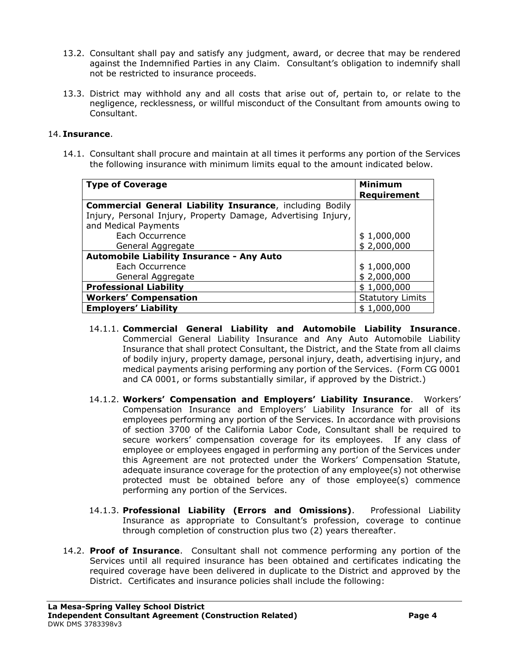- 13.2. Consultant shall pay and satisfy any judgment, award, or decree that may be rendered against the Indemnified Parties in any Claim. Consultant's obligation to indemnify shall not be restricted to insurance proceeds.
- 13.3. District may withhold any and all costs that arise out of, pertain to, or relate to the negligence, recklessness, or willful misconduct of the Consultant from amounts owing to Consultant.

#### 14. **Insurance**.

14.1. Consultant shall procure and maintain at all times it performs any portion of the Services the following insurance with minimum limits equal to the amount indicated below.

| <b>Type of Coverage</b>                                                                                                                                  | <b>Minimum</b><br><b>Requirement</b> |
|----------------------------------------------------------------------------------------------------------------------------------------------------------|--------------------------------------|
| <b>Commercial General Liability Insurance, including Bodily</b><br>Injury, Personal Injury, Property Damage, Advertising Injury,<br>and Medical Payments |                                      |
| Each Occurrence<br>General Aggregate                                                                                                                     | \$1,000,000<br>\$2,000,000           |
| <b>Automobile Liability Insurance - Any Auto</b>                                                                                                         |                                      |
| Each Occurrence                                                                                                                                          | \$1,000,000                          |
| General Aggregate                                                                                                                                        | \$2,000,000                          |
| <b>Professional Liability</b>                                                                                                                            | \$1,000,000                          |
| <b>Workers' Compensation</b>                                                                                                                             | <b>Statutory Limits</b>              |
| <b>Employers' Liability</b>                                                                                                                              | \$1,000,000                          |

- 14.1.1. **Commercial General Liability and Automobile Liability Insurance**. Commercial General Liability Insurance and Any Auto Automobile Liability Insurance that shall protect Consultant, the District, and the State from all claims of bodily injury, property damage, personal injury, death, advertising injury, and medical payments arising performing any portion of the Services. (Form CG 0001 and CA 0001, or forms substantially similar, if approved by the District.)
- 14.1.2. **Workers' Compensation and Employers' Liability Insurance**. Workers' Compensation Insurance and Employers' Liability Insurance for all of its employees performing any portion of the Services. In accordance with provisions of section 3700 of the California Labor Code, Consultant shall be required to secure workers' compensation coverage for its employees. If any class of employee or employees engaged in performing any portion of the Services under this Agreement are not protected under the Workers' Compensation Statute, adequate insurance coverage for the protection of any employee(s) not otherwise protected must be obtained before any of those employee(s) commence performing any portion of the Services.
- 14.1.3. **Professional Liability (Errors and Omissions)**. Professional Liability Insurance as appropriate to Consultant's profession, coverage to continue through completion of construction plus two (2) years thereafter.
- 14.2. **Proof of Insurance**. Consultant shall not commence performing any portion of the Services until all required insurance has been obtained and certificates indicating the required coverage have been delivered in duplicate to the District and approved by the District. Certificates and insurance policies shall include the following: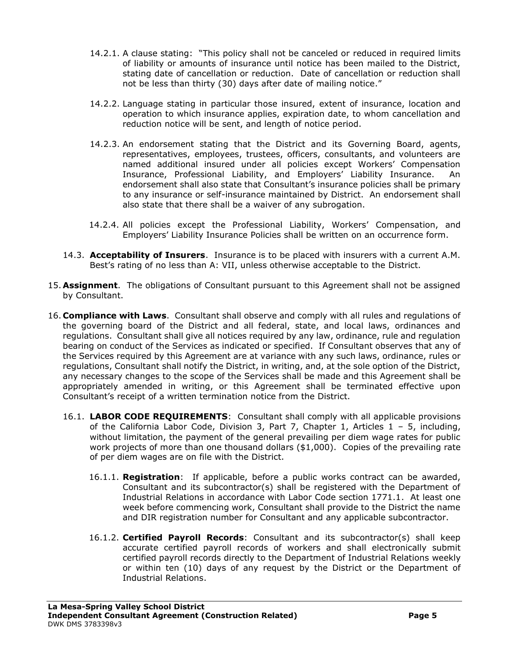- 14.2.1. A clause stating: "This policy shall not be canceled or reduced in required limits of liability or amounts of insurance until notice has been mailed to the District, stating date of cancellation or reduction. Date of cancellation or reduction shall not be less than thirty (30) days after date of mailing notice."
- 14.2.2. Language stating in particular those insured, extent of insurance, location and operation to which insurance applies, expiration date, to whom cancellation and reduction notice will be sent, and length of notice period.
- 14.2.3. An endorsement stating that the District and its Governing Board, agents, representatives, employees, trustees, officers, consultants, and volunteers are named additional insured under all policies except Workers' Compensation Insurance, Professional Liability, and Employers' Liability Insurance. An endorsement shall also state that Consultant's insurance policies shall be primary to any insurance or self-insurance maintained by District. An endorsement shall also state that there shall be a waiver of any subrogation.
- 14.2.4. All policies except the Professional Liability, Workers' Compensation, and Employers' Liability Insurance Policies shall be written on an occurrence form.
- 14.3. **Acceptability of Insurers**. Insurance is to be placed with insurers with a current A.M. Best's rating of no less than A: VII, unless otherwise acceptable to the District.
- 15. **Assignment**. The obligations of Consultant pursuant to this Agreement shall not be assigned by Consultant.
- 16. **Compliance with Laws**. Consultant shall observe and comply with all rules and regulations of the governing board of the District and all federal, state, and local laws, ordinances and regulations. Consultant shall give all notices required by any law, ordinance, rule and regulation bearing on conduct of the Services as indicated or specified. If Consultant observes that any of the Services required by this Agreement are at variance with any such laws, ordinance, rules or regulations, Consultant shall notify the District, in writing, and, at the sole option of the District, any necessary changes to the scope of the Services shall be made and this Agreement shall be appropriately amended in writing, or this Agreement shall be terminated effective upon Consultant's receipt of a written termination notice from the District.
	- 16.1. **LABOR CODE REQUIREMENTS**: Consultant shall comply with all applicable provisions of the California Labor Code, Division 3, Part 7, Chapter 1, Articles  $1 - 5$ , including, without limitation, the payment of the general prevailing per diem wage rates for public work projects of more than one thousand dollars (\$1,000). Copies of the prevailing rate of per diem wages are on file with the District.
		- 16.1.1. **Registration**: If applicable, before a public works contract can be awarded, Consultant and its subcontractor(s) shall be registered with the Department of Industrial Relations in accordance with Labor Code section 1771.1. At least one week before commencing work, Consultant shall provide to the District the name and DIR registration number for Consultant and any applicable subcontractor.
		- 16.1.2. **Certified Payroll Records**: Consultant and its subcontractor(s) shall keep accurate certified payroll records of workers and shall electronically submit certified payroll records directly to the Department of Industrial Relations weekly or within ten (10) days of any request by the District or the Department of Industrial Relations.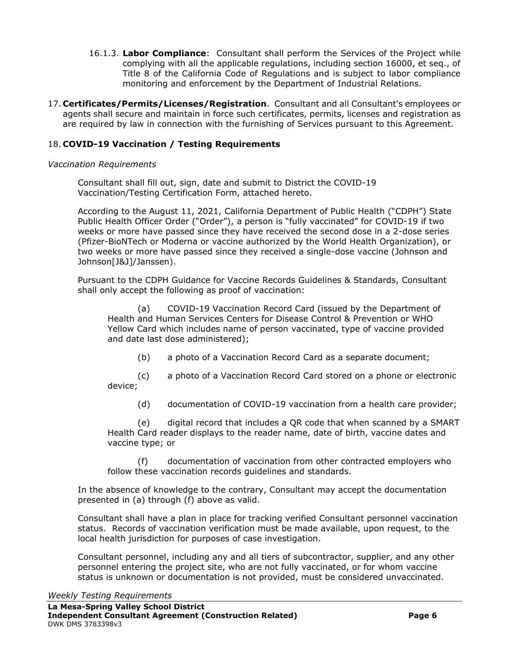- 16.1.3. **Labor Compliance**: Consultant shall perform the Services of the Project while complying with all the applicable regulations, including section 16000, et seq., of Title 8 of the California Code of Regulations and is subject to labor compliance monitoring and enforcement by the Department of Industrial Relations.
- 17. **Certificates/Permits/Licenses/Registration**. Consultant and all Consultant's employees or agents shall secure and maintain in force such certificates, permits, licenses and registration as are required by law in connection with the furnishing of Services pursuant to this Agreement.

## 18. **COVID-19 Vaccination / Testing Requirements**

#### *Vaccination Requirements*

Consultant shall fill out, sign, date and submit to District the COVID-19 Vaccination/Testing Certification Form, attached hereto.

According to the August 11, 2021, California Department of Public Health ("CDPH") State Public Health Officer Order ("Order"), a person is "fully vaccinated" for COVID-19 if two weeks or more have passed since they have received the second dose in a 2-dose series (Pfizer-BioNTech or Moderna or vaccine authorized by the World Health Organization), or two weeks or more have passed since they received a single-dose vaccine (Johnson and Johnson[J&J]/Janssen).

Pursuant to the CDPH Guidance for Vaccine Records Guidelines & Standards, Consultant shall only accept the following as proof of vaccination:

(a) COVID-19 Vaccination Record Card (issued by the Department of Health and Human Services Centers for Disease Control & Prevention or WHO Yellow Card which includes name of person vaccinated, type of vaccine provided and date last dose administered);

(b) a photo of a Vaccination Record Card as a separate document;

(c) a photo of a Vaccination Record Card stored on a phone or electronic device;

(d) documentation of COVID-19 vaccination from a health care provider;

(e) digital record that includes a QR code that when scanned by a SMART Health Card reader displays to the reader name, date of birth, vaccine dates and vaccine type; or

(f) documentation of vaccination from other contracted employers who follow these vaccination records guidelines and standards.

In the absence of knowledge to the contrary, Consultant may accept the documentation presented in (a) through (f) above as valid.

Consultant shall have a plan in place for tracking verified Consultant personnel vaccination status. Records of vaccination verification must be made available, upon request, to the local health jurisdiction for purposes of case investigation.

Consultant personnel, including any and all tiers of subcontractor, supplier, and any other personnel entering the project site, who are not fully vaccinated, or for whom vaccine status is unknown or documentation is not provided, must be considered unvaccinated.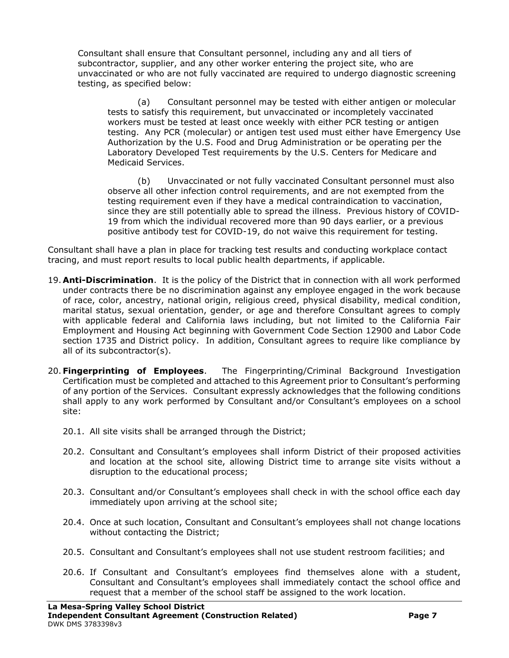Consultant shall ensure that Consultant personnel, including any and all tiers of subcontractor, supplier, and any other worker entering the project site, who are unvaccinated or who are not fully vaccinated are required to undergo diagnostic screening testing, as specified below:

(a) Consultant personnel may be tested with either antigen or molecular tests to satisfy this requirement, but unvaccinated or incompletely vaccinated workers must be tested at least once weekly with either PCR testing or antigen testing. Any PCR (molecular) or antigen test used must either have Emergency Use Authorization by the U.S. Food and Drug Administration or be operating per the Laboratory Developed Test requirements by the U.S. Centers for Medicare and Medicaid Services.

(b) Unvaccinated or not fully vaccinated Consultant personnel must also observe all other infection control requirements, and are not exempted from the testing requirement even if they have a medical contraindication to vaccination, since they are still potentially able to spread the illness. Previous history of COVID-19 from which the individual recovered more than 90 days earlier, or a previous positive antibody test for COVID-19, do not waive this requirement for testing.

Consultant shall have a plan in place for tracking test results and conducting workplace contact tracing, and must report results to local public health departments, if applicable.

- 19. **Anti-Discrimination**. It is the policy of the District that in connection with all work performed under contracts there be no discrimination against any employee engaged in the work because of race, color, ancestry, national origin, religious creed, physical disability, medical condition, marital status, sexual orientation, gender, or age and therefore Consultant agrees to comply with applicable federal and California laws including, but not limited to the California Fair Employment and Housing Act beginning with Government Code Section 12900 and Labor Code section 1735 and District policy. In addition, Consultant agrees to require like compliance by all of its subcontractor(s).
- 20. **Fingerprinting of Employees**.The Fingerprinting/Criminal Background Investigation Certification must be completed and attached to this Agreement prior to Consultant's performing of any portion of the Services. Consultant expressly acknowledges that the following conditions shall apply to any work performed by Consultant and/or Consultant's employees on a school site:
	- 20.1. All site visits shall be arranged through the District;
	- 20.2. Consultant and Consultant's employees shall inform District of their proposed activities and location at the school site, allowing District time to arrange site visits without a disruption to the educational process;
	- 20.3. Consultant and/or Consultant's employees shall check in with the school office each day immediately upon arriving at the school site;
	- 20.4. Once at such location, Consultant and Consultant's employees shall not change locations without contacting the District;
	- 20.5. Consultant and Consultant's employees shall not use student restroom facilities; and
	- 20.6. If Consultant and Consultant's employees find themselves alone with a student, Consultant and Consultant's employees shall immediately contact the school office and request that a member of the school staff be assigned to the work location.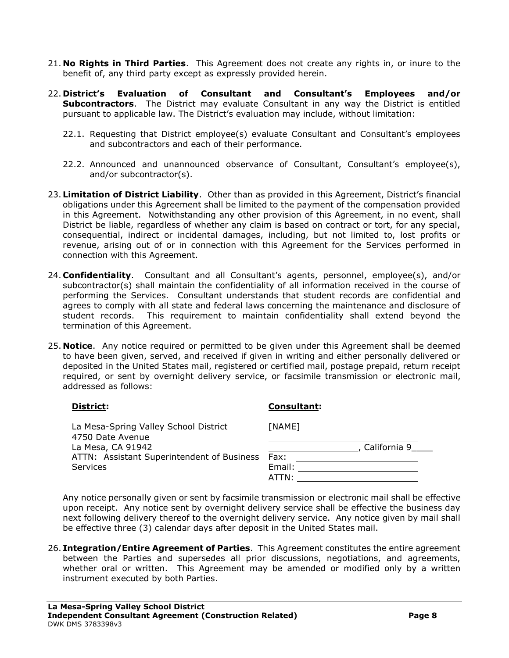- 21. **No Rights in Third Parties**. This Agreement does not create any rights in, or inure to the benefit of, any third party except as expressly provided herein.
- 22. **District's Evaluation of Consultant and Consultant's Employees and/or Subcontractors**. The District may evaluate Consultant in any way the District is entitled pursuant to applicable law. The District's evaluation may include, without limitation:
	- 22.1. Requesting that District employee(s) evaluate Consultant and Consultant's employees and subcontractors and each of their performance.
	- 22.2. Announced and unannounced observance of Consultant, Consultant's employee(s), and/or subcontractor(s).
- 23. **Limitation of District Liability**. Other than as provided in this Agreement, District's financial obligations under this Agreement shall be limited to the payment of the compensation provided in this Agreement. Notwithstanding any other provision of this Agreement, in no event, shall District be liable, regardless of whether any claim is based on contract or tort, for any special, consequential, indirect or incidental damages, including, but not limited to, lost profits or revenue, arising out of or in connection with this Agreement for the Services performed in connection with this Agreement.
- 24. **Confidentiality**. Consultant and all Consultant's agents, personnel, employee(s), and/or subcontractor(s) shall maintain the confidentiality of all information received in the course of performing the Services. Consultant understands that student records are confidential and agrees to comply with all state and federal laws concerning the maintenance and disclosure of student records. This requirement to maintain confidentiality shall extend beyond the termination of this Agreement.
- 25. **Notice**. Any notice required or permitted to be given under this Agreement shall be deemed to have been given, served, and received if given in writing and either personally delivered or deposited in the United States mail, registered or certified mail, postage prepaid, return receipt required, or sent by overnight delivery service, or facsimile transmission or electronic mail, addressed as follows:

| District:                                                 | <b>Consultant:</b> |  |
|-----------------------------------------------------------|--------------------|--|
| La Mesa-Spring Valley School District<br>4750 Date Avenue | [NAME]             |  |
| La Mesa, CA 91942                                         | California 9       |  |
| ATTN: Assistant Superintendent of Business                | Fax:               |  |
| <b>Services</b>                                           | Email:             |  |
|                                                           | ATTN:              |  |

Any notice personally given or sent by facsimile transmission or electronic mail shall be effective upon receipt. Any notice sent by overnight delivery service shall be effective the business day next following delivery thereof to the overnight delivery service. Any notice given by mail shall be effective three (3) calendar days after deposit in the United States mail.

26. **Integration/Entire Agreement of Parties**. This Agreement constitutes the entire agreement between the Parties and supersedes all prior discussions, negotiations, and agreements, whether oral or written. This Agreement may be amended or modified only by a written instrument executed by both Parties.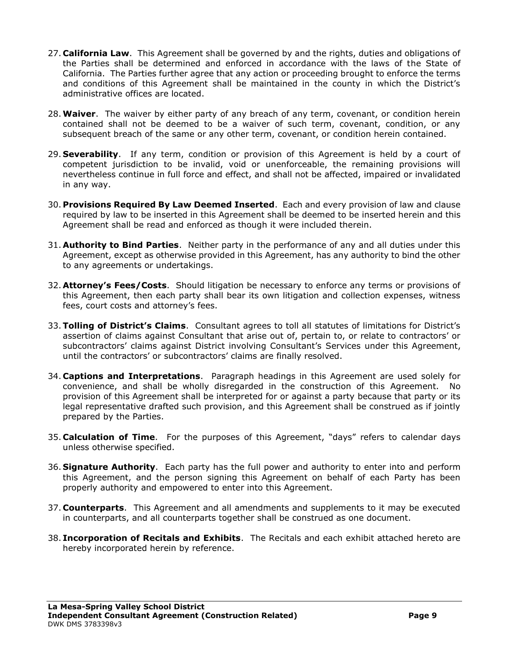- 27. **California Law**. This Agreement shall be governed by and the rights, duties and obligations of the Parties shall be determined and enforced in accordance with the laws of the State of California. The Parties further agree that any action or proceeding brought to enforce the terms and conditions of this Agreement shall be maintained in the county in which the District's administrative offices are located.
- 28.**Waiver**. The waiver by either party of any breach of any term, covenant, or condition herein contained shall not be deemed to be a waiver of such term, covenant, condition, or any subsequent breach of the same or any other term, covenant, or condition herein contained.
- 29. **Severability**. If any term, condition or provision of this Agreement is held by a court of competent jurisdiction to be invalid, void or unenforceable, the remaining provisions will nevertheless continue in full force and effect, and shall not be affected, impaired or invalidated in any way.
- 30. **Provisions Required By Law Deemed Inserted**.Each and every provision of law and clause required by law to be inserted in this Agreement shall be deemed to be inserted herein and this Agreement shall be read and enforced as though it were included therein.
- 31. **Authority to Bind Parties**. Neither party in the performance of any and all duties under this Agreement, except as otherwise provided in this Agreement, has any authority to bind the other to any agreements or undertakings.
- 32. **Attorney's Fees/Costs**. Should litigation be necessary to enforce any terms or provisions of this Agreement, then each party shall bear its own litigation and collection expenses, witness fees, court costs and attorney's fees.
- 33.**Tolling of District's Claims**.Consultant agrees to toll all statutes of limitations for District's assertion of claims against Consultant that arise out of, pertain to, or relate to contractors' or subcontractors' claims against District involving Consultant's Services under this Agreement, until the contractors' or subcontractors' claims are finally resolved.
- 34. **Captions and Interpretations**. Paragraph headings in this Agreement are used solely for convenience, and shall be wholly disregarded in the construction of this Agreement. No provision of this Agreement shall be interpreted for or against a party because that party or its legal representative drafted such provision, and this Agreement shall be construed as if jointly prepared by the Parties.
- 35. **Calculation of Time**. For the purposes of this Agreement, "days" refers to calendar days unless otherwise specified.
- 36. **Signature Authority**. Each party has the full power and authority to enter into and perform this Agreement, and the person signing this Agreement on behalf of each Party has been properly authority and empowered to enter into this Agreement.
- 37. **Counterparts**. This Agreement and all amendments and supplements to it may be executed in counterparts, and all counterparts together shall be construed as one document.
- 38. **Incorporation of Recitals and Exhibits**. The Recitals and each exhibit attached hereto are hereby incorporated herein by reference.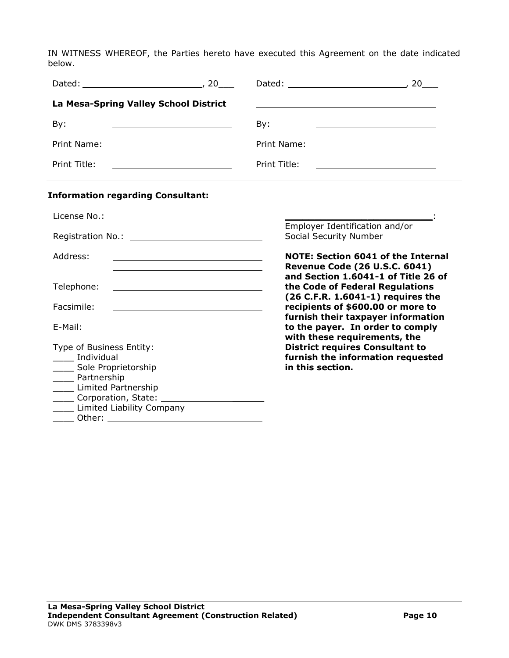IN WITNESS WHEREOF, the Parties hereto have executed this Agreement on the date indicated below.

| La Mesa-Spring Valley School District                                                                                                                                                                                                                                     |                                                                                                                                                                                          |
|---------------------------------------------------------------------------------------------------------------------------------------------------------------------------------------------------------------------------------------------------------------------------|------------------------------------------------------------------------------------------------------------------------------------------------------------------------------------------|
| By:                                                                                                                                                                                                                                                                       | By:<br><u> 1989 - Johann Barbara, martin amerikan personal (</u>                                                                                                                         |
| Print Name:                                                                                                                                                                                                                                                               | Print Name:<br><u> 1980 - Johann Barbara, martin amerikan ba</u>                                                                                                                         |
| Print Title:<br><u> 1989 - Johann Barn, mars eta bat erroman erroman erroman erroman erroman erroman erroman erroman erroman err</u>                                                                                                                                      | Print Title:                                                                                                                                                                             |
| <b>Information regarding Consultant:</b>                                                                                                                                                                                                                                  |                                                                                                                                                                                          |
| License No.:<br><u> 1990 - Johann Barbara, martin amerikan per</u>                                                                                                                                                                                                        |                                                                                                                                                                                          |
|                                                                                                                                                                                                                                                                           | Employer Identification and/or<br>Social Security Number                                                                                                                                 |
| Address:<br><u> 1989 - Johann Barbara, martin amerikan basar dan berasal dan berasal dalam basar dalam basar dalam basar dala</u>                                                                                                                                         | <b>NOTE: Section 6041 of the Internal</b>                                                                                                                                                |
| Telephone:<br><u> 1989 - Johann Barbara, martin amerikan basar dan bagian dan bagian dalam basar dalam bagian dalam bagian dala</u><br>Facsimile:<br><u> 1989 - Johann Stein, marwolaethau a bhann an t-Amhair an t-Amhair an t-Amhair an t-Amhair an t-Amhair an t-A</u> | <b>Revenue Code (26 U.S.C. 6041)</b><br>and Section 1.6041-1 of Title 26 of<br>the Code of Federal Regulations<br>(26 C.F.R. 1.6041-1) requires the<br>recipients of \$600.00 or more to |
| E-Mail:<br><u> 1989 - John Stein, mars and de Brazilian (b. 1989)</u>                                                                                                                                                                                                     | furnish their taxpayer information<br>to the payer. In order to comply                                                                                                                   |
| Type of Business Entity:<br>Individual<br>___ Sole Proprietorship<br>____ Partnership<br>_____ Limited Partnership<br>Corporation, State: Corporation, State:<br>Limited Liability Company                                                                                | with these requirements, the<br><b>District requires Consultant to</b><br>furnish the information requested<br>in this section.                                                          |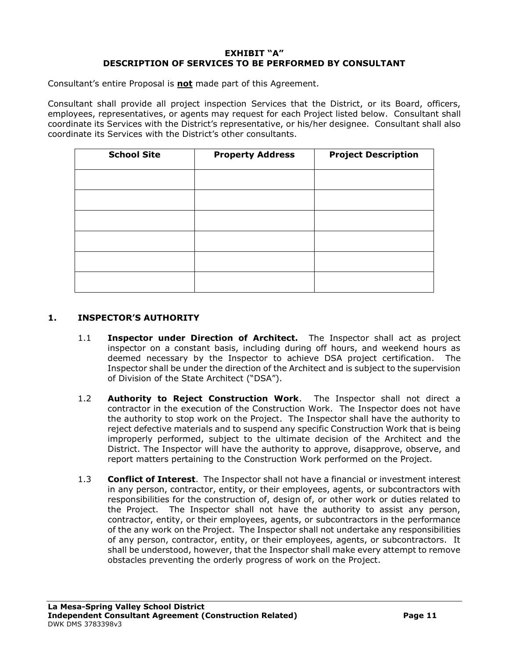#### **EXHIBIT "A" DESCRIPTION OF SERVICES TO BE PERFORMED BY CONSULTANT**

Consultant's entire Proposal is **not** made part of this Agreement.

Consultant shall provide all project inspection Services that the District, or its Board, officers, employees, representatives, or agents may request for each Project listed below. Consultant shall coordinate its Services with the District's representative, or his/her designee. Consultant shall also coordinate its Services with the District's other consultants.

| <b>School Site</b> | <b>Property Address</b> | <b>Project Description</b> |
|--------------------|-------------------------|----------------------------|
|                    |                         |                            |
|                    |                         |                            |
|                    |                         |                            |
|                    |                         |                            |
|                    |                         |                            |
|                    |                         |                            |

#### **1. INSPECTOR'S AUTHORITY**

- 1.1 **Inspector under Direction of Architect.** The Inspector shall act as project inspector on a constant basis, including during off hours, and weekend hours as deemed necessary by the Inspector to achieve DSA project certification. The Inspector shall be under the direction of the Architect and is subject to the supervision of Division of the State Architect ("DSA").
- 1.2 **Authority to Reject Construction Work**. The Inspector shall not direct a contractor in the execution of the Construction Work. The Inspector does not have the authority to stop work on the Project. The Inspector shall have the authority to reject defective materials and to suspend any specific Construction Work that is being improperly performed, subject to the ultimate decision of the Architect and the District. The Inspector will have the authority to approve, disapprove, observe, and report matters pertaining to the Construction Work performed on the Project.
- 1.3 **Conflict of Interest**. The Inspector shall not have a financial or investment interest in any person, contractor, entity, or their employees, agents, or subcontractors with responsibilities for the construction of, design of, or other work or duties related to the Project. The Inspector shall not have the authority to assist any person, contractor, entity, or their employees, agents, or subcontractors in the performance of the any work on the Project. The Inspector shall not undertake any responsibilities of any person, contractor, entity, or their employees, agents, or subcontractors. It shall be understood, however, that the Inspector shall make every attempt to remove obstacles preventing the orderly progress of work on the Project.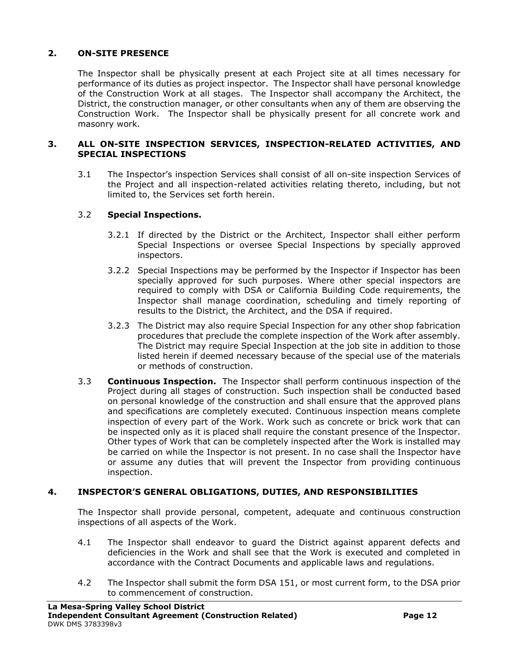# **2. ON-SITE PRESENCE**

The Inspector shall be physically present at each Project site at all times necessary for performance of its duties as project inspector. The Inspector shall have personal knowledge of the Construction Work at all stages. The Inspector shall accompany the Architect, the District, the construction manager, or other consultants when any of them are observing the Construction Work. The Inspector shall be physically present for all concrete work and masonry work.

#### **3. ALL ON-SITE INSPECTION SERVICES, INSPECTION-RELATED ACTIVITIES, AND SPECIAL INSPECTIONS**

3.1 The Inspector's inspection Services shall consist of all on-site inspection Services of the Project and all inspection-related activities relating thereto, including, but not limited to, the Services set forth herein.

## 3.2 **Special Inspections.**

- 3.2.1 If directed by the District or the Architect, Inspector shall either perform Special Inspections or oversee Special Inspections by specially approved inspectors.
- 3.2.2 Special Inspections may be performed by the Inspector if Inspector has been specially approved for such purposes. Where other special inspectors are required to comply with DSA or California Building Code requirements, the Inspector shall manage coordination, scheduling and timely reporting of results to the District, the Architect, and the DSA if required.
- 3.2.3 The District may also require Special Inspection for any other shop fabrication procedures that preclude the complete inspection of the Work after assembly. The District may require Special Inspection at the job site in addition to those listed herein if deemed necessary because of the special use of the materials or methods of construction.
- 3.3 **Continuous Inspection.** The Inspector shall perform continuous inspection of the Project during all stages of construction. Such inspection shall be conducted based on personal knowledge of the construction and shall ensure that the approved plans and specifications are completely executed. Continuous inspection means complete inspection of every part of the Work. Work such as concrete or brick work that can be inspected only as it is placed shall require the constant presence of the Inspector. Other types of Work that can be completely inspected after the Work is installed may be carried on while the Inspector is not present. In no case shall the Inspector have or assume any duties that will prevent the Inspector from providing continuous inspection.

## **4. INSPECTOR'S GENERAL OBLIGATIONS, DUTIES, AND RESPONSIBILITIES**

The Inspector shall provide personal, competent, adequate and continuous construction inspections of all aspects of the Work.

- 4.1 The Inspector shall endeavor to guard the District against apparent defects and deficiencies in the Work and shall see that the Work is executed and completed in accordance with the Contract Documents and applicable laws and regulations.
- 4.2 The Inspector shall submit the form DSA 151, or most current form, to the DSA prior to commencement of construction.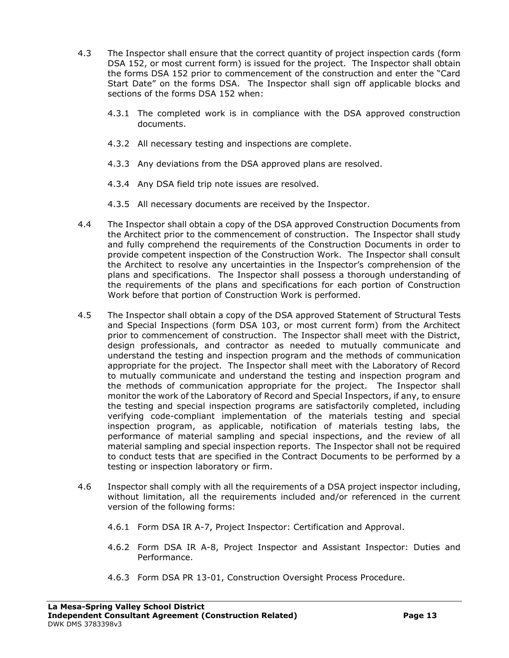- 4.3 The Inspector shall ensure that the correct quantity of project inspection cards (form DSA 152, or most current form) is issued for the project. The Inspector shall obtain the forms DSA 152 prior to commencement of the construction and enter the "Card Start Date" on the forms DSA. The Inspector shall sign off applicable blocks and sections of the forms DSA 152 when:
	- 4.3.1 The completed work is in compliance with the DSA approved construction documents.
	- 4.3.2 All necessary testing and inspections are complete.
	- 4.3.3 Any deviations from the DSA approved plans are resolved.
	- 4.3.4 Any DSA field trip note issues are resolved.
	- 4.3.5 All necessary documents are received by the Inspector.
- 4.4 The Inspector shall obtain a copy of the DSA approved Construction Documents from the Architect prior to the commencement of construction. The Inspector shall study and fully comprehend the requirements of the Construction Documents in order to provide competent inspection of the Construction Work. The Inspector shall consult the Architect to resolve any uncertainties in the Inspector's comprehension of the plans and specifications. The Inspector shall possess a thorough understanding of the requirements of the plans and specifications for each portion of Construction Work before that portion of Construction Work is performed.
- 4.5 The Inspector shall obtain a copy of the DSA approved Statement of Structural Tests and Special Inspections (form DSA 103, or most current form) from the Architect prior to commencement of construction. The Inspector shall meet with the District, design professionals, and contractor as needed to mutually communicate and understand the testing and inspection program and the methods of communication appropriate for the project. The Inspector shall meet with the Laboratory of Record to mutually communicate and understand the testing and inspection program and the methods of communication appropriate for the project. The Inspector shall monitor the work of the Laboratory of Record and Special Inspectors, if any, to ensure the testing and special inspection programs are satisfactorily completed, including verifying code-compliant implementation of the materials testing and special inspection program, as applicable, notification of materials testing labs, the performance of material sampling and special inspections, and the review of all material sampling and special inspection reports. The Inspector shall not be required to conduct tests that are specified in the Contract Documents to be performed by a testing or inspection laboratory or firm.
- 4.6 Inspector shall comply with all the requirements of a DSA project inspector including, without limitation, all the requirements included and/or referenced in the current version of the following forms:
	- 4.6.1 Form DSA IR A-7, Project Inspector: Certification and Approval.
	- 4.6.2 Form DSA IR A-8, Project Inspector and Assistant Inspector: Duties and Performance.
	- 4.6.3 Form DSA PR 13-01, Construction Oversight Process Procedure.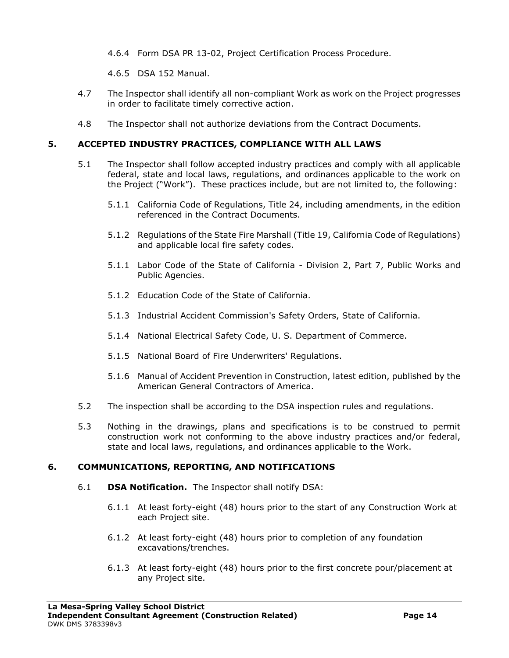4.6.4 Form DSA PR 13-02, Project Certification Process Procedure.

4.6.5 DSA 152 Manual.

- 4.7 The Inspector shall identify all non-compliant Work as work on the Project progresses in order to facilitate timely corrective action.
- 4.8 The Inspector shall not authorize deviations from the Contract Documents.

### **5. ACCEPTED INDUSTRY PRACTICES, COMPLIANCE WITH ALL LAWS**

- 5.1 The Inspector shall follow accepted industry practices and comply with all applicable federal, state and local laws, regulations, and ordinances applicable to the work on the Project ("Work"). These practices include, but are not limited to, the following:
	- 5.1.1 California Code of Regulations, Title 24, including amendments, in the edition referenced in the Contract Documents.
	- 5.1.2 Regulations of the State Fire Marshall (Title 19, California Code of Regulations) and applicable local fire safety codes.
	- 5.1.1 Labor Code of the State of California Division 2, Part 7, Public Works and Public Agencies.
	- 5.1.2 Education Code of the State of California.
	- 5.1.3 Industrial Accident Commission's Safety Orders, State of California.
	- 5.1.4 National Electrical Safety Code, U. S. Department of Commerce.
	- 5.1.5 National Board of Fire Underwriters' Regulations.
	- 5.1.6 Manual of Accident Prevention in Construction, latest edition, published by the American General Contractors of America.
- 5.2 The inspection shall be according to the DSA inspection rules and regulations.
- 5.3 Nothing in the drawings, plans and specifications is to be construed to permit construction work not conforming to the above industry practices and/or federal, state and local laws, regulations, and ordinances applicable to the Work.

## **6. COMMUNICATIONS, REPORTING, AND NOTIFICATIONS**

- 6.1 **DSA Notification.** The Inspector shall notify DSA:
	- 6.1.1 At least forty-eight (48) hours prior to the start of any Construction Work at each Project site.
	- 6.1.2 At least forty-eight (48) hours prior to completion of any foundation excavations/trenches.
	- 6.1.3 At least forty-eight (48) hours prior to the first concrete pour/placement at any Project site.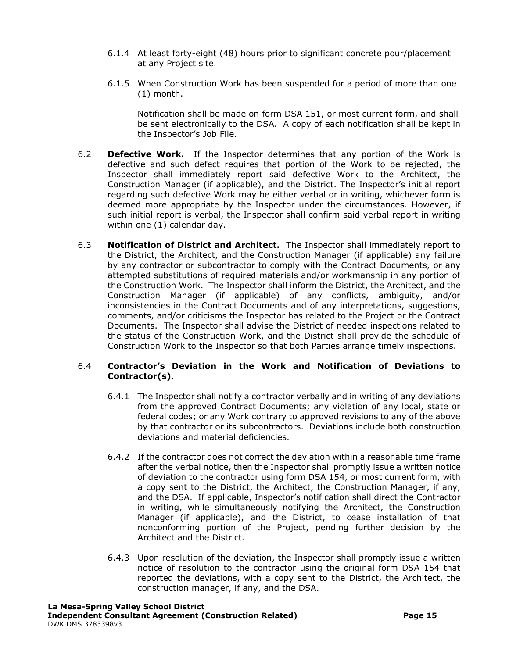- 6.1.4 At least forty-eight (48) hours prior to significant concrete pour/placement at any Project site.
- 6.1.5 When Construction Work has been suspended for a period of more than one (1) month.

Notification shall be made on form DSA 151, or most current form, and shall be sent electronically to the DSA. A copy of each notification shall be kept in the Inspector's Job File.

- 6.2 **Defective Work.** If the Inspector determines that any portion of the Work is defective and such defect requires that portion of the Work to be rejected, the Inspector shall immediately report said defective Work to the Architect, the Construction Manager (if applicable), and the District. The Inspector's initial report regarding such defective Work may be either verbal or in writing, whichever form is deemed more appropriate by the Inspector under the circumstances. However, if such initial report is verbal, the Inspector shall confirm said verbal report in writing within one (1) calendar day.
- 6.3 **Notification of District and Architect.** The Inspector shall immediately report to the District, the Architect, and the Construction Manager (if applicable) any failure by any contractor or subcontractor to comply with the Contract Documents, or any attempted substitutions of required materials and/or workmanship in any portion of the Construction Work. The Inspector shall inform the District, the Architect, and the Construction Manager (if applicable) of any conflicts, ambiguity, and/or inconsistencies in the Contract Documents and of any interpretations, suggestions, comments, and/or criticisms the Inspector has related to the Project or the Contract Documents. The Inspector shall advise the District of needed inspections related to the status of the Construction Work, and the District shall provide the schedule of Construction Work to the Inspector so that both Parties arrange timely inspections.

#### 6.4 **Contractor's Deviation in the Work and Notification of Deviations to Contractor(s)**.

- 6.4.1 The Inspector shall notify a contractor verbally and in writing of any deviations from the approved Contract Documents; any violation of any local, state or federal codes; or any Work contrary to approved revisions to any of the above by that contractor or its subcontractors. Deviations include both construction deviations and material deficiencies.
- 6.4.2 If the contractor does not correct the deviation within a reasonable time frame after the verbal notice, then the Inspector shall promptly issue a written notice of deviation to the contractor using form DSA 154, or most current form, with a copy sent to the District, the Architect, the Construction Manager, if any, and the DSA. If applicable, Inspector's notification shall direct the Contractor in writing, while simultaneously notifying the Architect, the Construction Manager (if applicable), and the District, to cease installation of that nonconforming portion of the Project, pending further decision by the Architect and the District.
- 6.4.3 Upon resolution of the deviation, the Inspector shall promptly issue a written notice of resolution to the contractor using the original form DSA 154 that reported the deviations, with a copy sent to the District, the Architect, the construction manager, if any, and the DSA.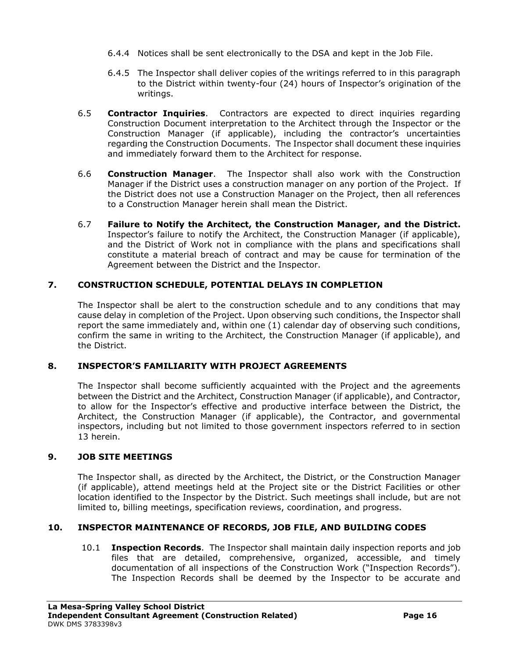- 6.4.4 Notices shall be sent electronically to the DSA and kept in the Job File.
- 6.4.5 The Inspector shall deliver copies of the writings referred to in this paragraph to the District within twenty-four (24) hours of Inspector's origination of the writings.
- 6.5 **Contractor Inquiries**. Contractors are expected to direct inquiries regarding Construction Document interpretation to the Architect through the Inspector or the Construction Manager (if applicable), including the contractor's uncertainties regarding the Construction Documents. The Inspector shall document these inquiries and immediately forward them to the Architect for response.
- 6.6 **Construction Manager**. The Inspector shall also work with the Construction Manager if the District uses a construction manager on any portion of the Project. If the District does not use a Construction Manager on the Project, then all references to a Construction Manager herein shall mean the District.
- 6.7 **Failure to Notify the Architect, the Construction Manager, and the District.**  Inspector's failure to notify the Architect, the Construction Manager (if applicable), and the District of Work not in compliance with the plans and specifications shall constitute a material breach of contract and may be cause for termination of the Agreement between the District and the Inspector.

# **7. CONSTRUCTION SCHEDULE, POTENTIAL DELAYS IN COMPLETION**

The Inspector shall be alert to the construction schedule and to any conditions that may cause delay in completion of the Project. Upon observing such conditions, the Inspector shall report the same immediately and, within one (1) calendar day of observing such conditions, confirm the same in writing to the Architect, the Construction Manager (if applicable), and the District.

## **8. INSPECTOR'S FAMILIARITY WITH PROJECT AGREEMENTS**

The Inspector shall become sufficiently acquainted with the Project and the agreements between the District and the Architect, Construction Manager (if applicable), and Contractor, to allow for the Inspector's effective and productive interface between the District, the Architect, the Construction Manager (if applicable), the Contractor, and governmental inspectors, including but not limited to those government inspectors referred to in section 13 herein.

## **9. JOB SITE MEETINGS**

The Inspector shall, as directed by the Architect, the District, or the Construction Manager (if applicable), attend meetings held at the Project site or the District Facilities or other location identified to the Inspector by the District. Such meetings shall include, but are not limited to, billing meetings, specification reviews, coordination, and progress.

## **10. INSPECTOR MAINTENANCE OF RECORDS, JOB FILE, AND BUILDING CODES**

10.1 **Inspection Records**. The Inspector shall maintain daily inspection reports and job files that are detailed, comprehensive, organized, accessible, and timely documentation of all inspections of the Construction Work ("Inspection Records"). The Inspection Records shall be deemed by the Inspector to be accurate and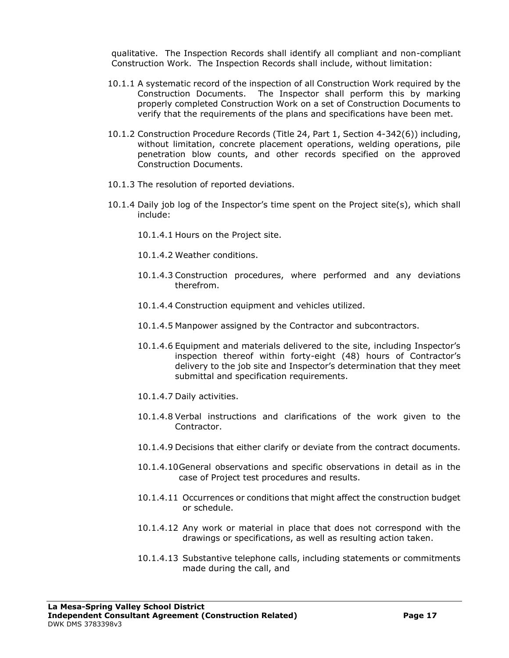qualitative. The Inspection Records shall identify all compliant and non-compliant Construction Work. The Inspection Records shall include, without limitation:

- 10.1.1 A systematic record of the inspection of all Construction Work required by the Construction Documents. The Inspector shall perform this by marking properly completed Construction Work on a set of Construction Documents to verify that the requirements of the plans and specifications have been met.
- 10.1.2 Construction Procedure Records (Title 24, Part 1, Section 4-342(6)) including, without limitation, concrete placement operations, welding operations, pile penetration blow counts, and other records specified on the approved Construction Documents.
- 10.1.3 The resolution of reported deviations.
- 10.1.4 Daily job log of the Inspector's time spent on the Project site(s), which shall include:
	- 10.1.4.1 Hours on the Project site.
	- 10.1.4.2 Weather conditions.
	- 10.1.4.3 Construction procedures, where performed and any deviations therefrom.
	- 10.1.4.4 Construction equipment and vehicles utilized.
	- 10.1.4.5 Manpower assigned by the Contractor and subcontractors.
	- 10.1.4.6 Equipment and materials delivered to the site, including Inspector's inspection thereof within forty-eight (48) hours of Contractor's delivery to the job site and Inspector's determination that they meet submittal and specification requirements.
	- 10.1.4.7 Daily activities.
	- 10.1.4.8 Verbal instructions and clarifications of the work given to the Contractor.
	- 10.1.4.9 Decisions that either clarify or deviate from the contract documents.
	- 10.1.4.10General observations and specific observations in detail as in the case of Project test procedures and results.
	- 10.1.4.11 Occurrences or conditions that might affect the construction budget or schedule.
	- 10.1.4.12 Any work or material in place that does not correspond with the drawings or specifications, as well as resulting action taken.
	- 10.1.4.13 Substantive telephone calls, including statements or commitments made during the call, and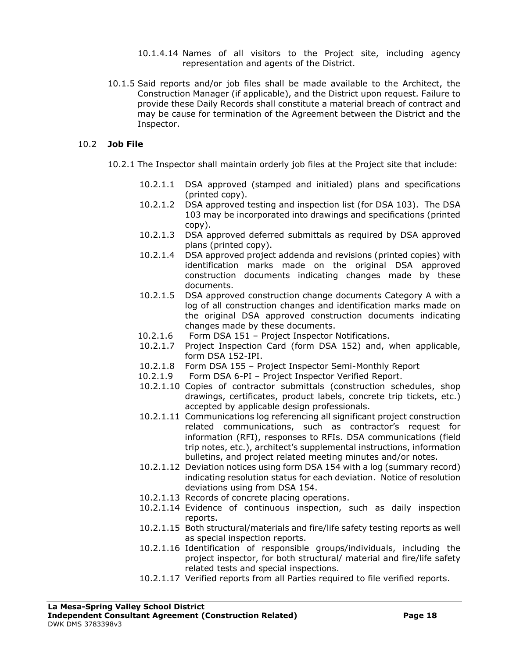- 10.1.4.14 Names of all visitors to the Project site, including agency representation and agents of the District.
- 10.1.5 Said reports and/or job files shall be made available to the Architect, the Construction Manager (if applicable), and the District upon request. Failure to provide these Daily Records shall constitute a material breach of contract and may be cause for termination of the Agreement between the District and the Inspector.

#### 10.2 **Job File**

- 10.2.1 The Inspector shall maintain orderly job files at the Project site that include:
	- 10.2.1.1 DSA approved (stamped and initialed) plans and specifications (printed copy).
	- 10.2.1.2 DSA approved testing and inspection list (for DSA 103). The DSA 103 may be incorporated into drawings and specifications (printed copy).
	- 10.2.1.3 DSA approved deferred submittals as required by DSA approved plans (printed copy).
	- 10.2.1.4 DSA approved project addenda and revisions (printed copies) with identification marks made on the original DSA approved construction documents indicating changes made by these documents.
	- 10.2.1.5 DSA approved construction change documents Category A with a log of all construction changes and identification marks made on the original DSA approved construction documents indicating changes made by these documents.
	- 10.2.1.6 Form DSA 151 Project Inspector Notifications.
	- 10.2.1.7 Project Inspection Card (form DSA 152) and, when applicable, form DSA 152-IPI.
	- 10.2.1.8 Form DSA 155 Project Inspector Semi-Monthly Report
	- 10.2.1.9 Form DSA 6-PI Project Inspector Verified Report.
	- 10.2.1.10 Copies of contractor submittals (construction schedules, shop drawings, certificates, product labels, concrete trip tickets, etc.) accepted by applicable design professionals.
	- 10.2.1.11 Communications log referencing all significant project construction related communications, such as contractor's request for information (RFI), responses to RFIs. DSA communications (field trip notes, etc.), architect's supplemental instructions, information bulletins, and project related meeting minutes and/or notes.
	- 10.2.1.12 Deviation notices using form DSA 154 with a log (summary record) indicating resolution status for each deviation. Notice of resolution deviations using from DSA 154.
	- 10.2.1.13 Records of concrete placing operations.
	- 10.2.1.14 Evidence of continuous inspection, such as daily inspection reports.
	- 10.2.1.15 Both structural/materials and fire/life safety testing reports as well as special inspection reports.
	- 10.2.1.16 Identification of responsible groups/individuals, including the project inspector, for both structural/ material and fire/life safety related tests and special inspections.
	- 10.2.1.17 Verified reports from all Parties required to file verified reports.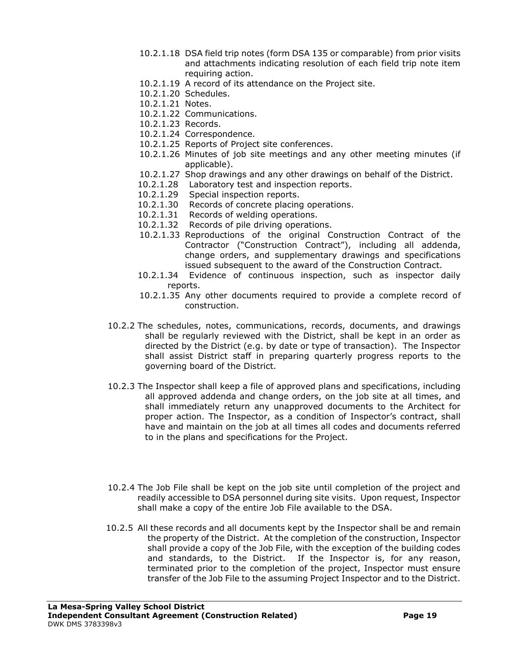- 10.2.1.18 DSA field trip notes (form DSA 135 or comparable) from prior visits and attachments indicating resolution of each field trip note item requiring action.
- 10.2.1.19 A record of its attendance on the Project site.
- 10.2.1.20 Schedules.
- 10.2.1.21 Notes.
- 10.2.1.22 Communications.
- 10.2.1.23 Records.
- 10.2.1.24 Correspondence.
- 10.2.1.25 Reports of Project site conferences.
- 10.2.1.26 Minutes of job site meetings and any other meeting minutes (if applicable).
- 10.2.1.27 Shop drawings and any other drawings on behalf of the District.
- 10.2.1.28 Laboratory test and inspection reports.
- 10.2.1.29 Special inspection reports.
- 10.2.1.30 Records of concrete placing operations.
- 10.2.1.31 Records of welding operations.
- 10.2.1.32 Records of pile driving operations.
- 10.2.1.33 Reproductions of the original Construction Contract of the Contractor ("Construction Contract"), including all addenda, change orders, and supplementary drawings and specifications issued subsequent to the award of the Construction Contract.
- 10.2.1.34 Evidence of continuous inspection, such as inspector daily reports.
- 10.2.1.35 Any other documents required to provide a complete record of construction.
- 10.2.2 The schedules, notes, communications, records, documents, and drawings shall be regularly reviewed with the District, shall be kept in an order as directed by the District (e.g. by date or type of transaction). The Inspector shall assist District staff in preparing quarterly progress reports to the governing board of the District.
- 10.2.3 The Inspector shall keep a file of approved plans and specifications, including all approved addenda and change orders, on the job site at all times, and shall immediately return any unapproved documents to the Architect for proper action. The Inspector, as a condition of Inspector's contract, shall have and maintain on the job at all times all codes and documents referred to in the plans and specifications for the Project.
- 10.2.4 The Job File shall be kept on the job site until completion of the project and readily accessible to DSA personnel during site visits. Upon request, Inspector shall make a copy of the entire Job File available to the DSA.
- 10.2.5 All these records and all documents kept by the Inspector shall be and remain the property of the District. At the completion of the construction, Inspector shall provide a copy of the Job File, with the exception of the building codes and standards, to the District. If the Inspector is, for any reason, terminated prior to the completion of the project, Inspector must ensure transfer of the Job File to the assuming Project Inspector and to the District.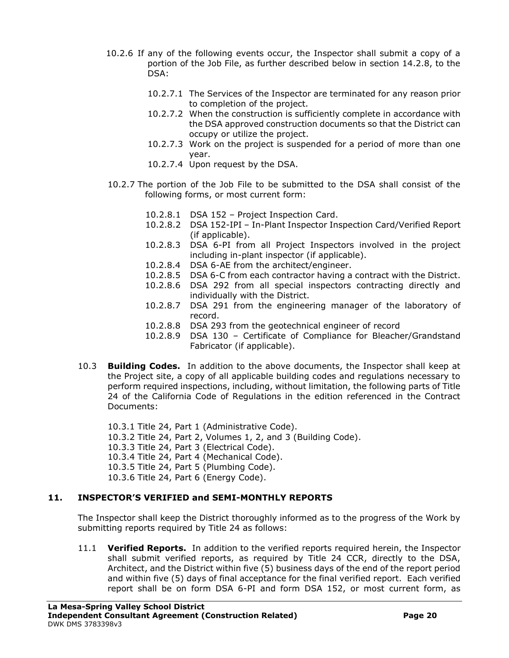- 10.2.6 If any of the following events occur, the Inspector shall submit a copy of a portion of the Job File, as further described below in section 14.2.8, to the DSA:
	- 10.2.7.1 The Services of the Inspector are terminated for any reason prior to completion of the project.
	- 10.2.7.2 When the construction is sufficiently complete in accordance with the DSA approved construction documents so that the District can occupy or utilize the project.
	- 10.2.7.3 Work on the project is suspended for a period of more than one year.
	- 10.2.7.4 Upon request by the DSA.
- 10.2.7 The portion of the Job File to be submitted to the DSA shall consist of the following forms, or most current form:
	- 10.2.8.1 DSA 152 Project Inspection Card.
	- 10.2.8.2 DSA 152-IPI In-Plant Inspector Inspection Card/Verified Report (if applicable).
	- 10.2.8.3 DSA 6-PI from all Project Inspectors involved in the project including in-plant inspector (if applicable).
	- 10.2.8.4 DSA 6-AE from the architect/engineer.
	- 10.2.8.5 DSA 6-C from each contractor having a contract with the District.
	- 10.2.8.6 DSA 292 from all special inspectors contracting directly and individually with the District.
	- 10.2.8.7 DSA 291 from the engineering manager of the laboratory of record.
	- 10.2.8.8 DSA 293 from the geotechnical engineer of record
	- 10.2.8.9 DSA 130 Certificate of Compliance for Bleacher/Grandstand Fabricator (if applicable).
- 10.3 **Building Codes.** In addition to the above documents, the Inspector shall keep at the Project site, a copy of all applicable building codes and regulations necessary to perform required inspections, including, without limitation, the following parts of Title 24 of the California Code of Regulations in the edition referenced in the Contract Documents:
	- 10.3.1 Title 24, Part 1 (Administrative Code). 10.3.2 Title 24, Part 2, Volumes 1, 2, and 3 (Building Code). 10.3.3 Title 24, Part 3 (Electrical Code). 10.3.4 Title 24, Part 4 (Mechanical Code). 10.3.5 Title 24, Part 5 (Plumbing Code). 10.3.6 Title 24, Part 6 (Energy Code).

## **11. INSPECTOR'S VERIFIED and SEMI-MONTHLY REPORTS**

The Inspector shall keep the District thoroughly informed as to the progress of the Work by submitting reports required by Title 24 as follows:

11.1 **Verified Reports.** In addition to the verified reports required herein, the Inspector shall submit verified reports, as required by Title 24 CCR, directly to the DSA, Architect, and the District within five (5) business days of the end of the report period and within five (5) days of final acceptance for the final verified report. Each verified report shall be on form DSA 6-PI and form DSA 152, or most current form, as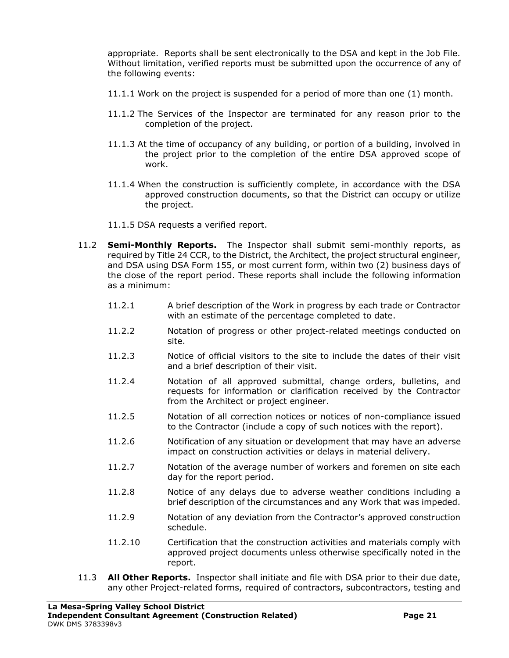appropriate. Reports shall be sent electronically to the DSA and kept in the Job File. Without limitation, verified reports must be submitted upon the occurrence of any of the following events:

- 11.1.1 Work on the project is suspended for a period of more than one (1) month.
- 11.1.2 The Services of the Inspector are terminated for any reason prior to the completion of the project.
- 11.1.3 At the time of occupancy of any building, or portion of a building, involved in the project prior to the completion of the entire DSA approved scope of work.
- 11.1.4 When the construction is sufficiently complete, in accordance with the DSA approved construction documents, so that the District can occupy or utilize the project.
- 11.1.5 DSA requests a verified report.
- 11.2 **Semi-Monthly Reports.** The Inspector shall submit semi-monthly reports, as required by Title 24 CCR, to the District, the Architect, the project structural engineer, and DSA using DSA Form 155, or most current form, within two (2) business days of the close of the report period. These reports shall include the following information as a minimum:
	- 11.2.1 A brief description of the Work in progress by each trade or Contractor with an estimate of the percentage completed to date.
	- 11.2.2 Notation of progress or other project-related meetings conducted on site.
	- 11.2.3 Notice of official visitors to the site to include the dates of their visit and a brief description of their visit.
	- 11.2.4 Notation of all approved submittal, change orders, bulletins, and requests for information or clarification received by the Contractor from the Architect or project engineer.
	- 11.2.5 Notation of all correction notices or notices of non-compliance issued to the Contractor (include a copy of such notices with the report).
	- 11.2.6 Notification of any situation or development that may have an adverse impact on construction activities or delays in material delivery.
	- 11.2.7 Notation of the average number of workers and foremen on site each day for the report period.
	- 11.2.8 Notice of any delays due to adverse weather conditions including a brief description of the circumstances and any Work that was impeded.
	- 11.2.9 Notation of any deviation from the Contractor's approved construction schedule.
	- 11.2.10 Certification that the construction activities and materials comply with approved project documents unless otherwise specifically noted in the report.
- 11.3 **All Other Reports.** Inspector shall initiate and file with DSA prior to their due date, any other Project-related forms, required of contractors, subcontractors, testing and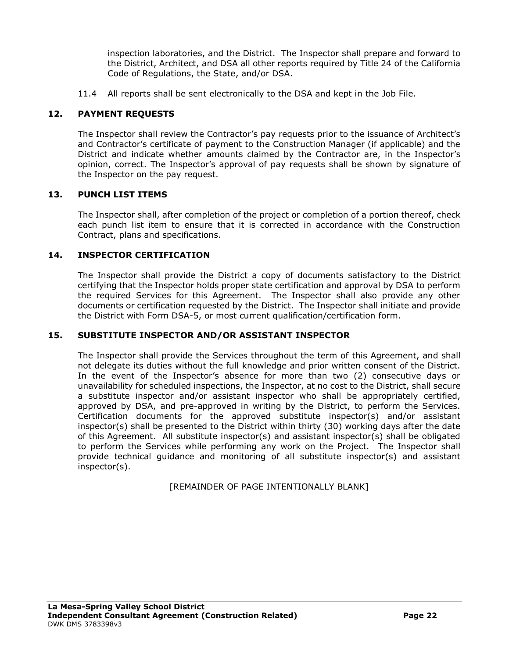inspection laboratories, and the District. The Inspector shall prepare and forward to the District, Architect, and DSA all other reports required by Title 24 of the California Code of Regulations, the State, and/or DSA.

11.4 All reports shall be sent electronically to the DSA and kept in the Job File.

# **12. PAYMENT REQUESTS**

The Inspector shall review the Contractor's pay requests prior to the issuance of Architect's and Contractor's certificate of payment to the Construction Manager (if applicable) and the District and indicate whether amounts claimed by the Contractor are, in the Inspector's opinion, correct. The Inspector's approval of pay requests shall be shown by signature of the Inspector on the pay request.

## **13. PUNCH LIST ITEMS**

The Inspector shall, after completion of the project or completion of a portion thereof, check each punch list item to ensure that it is corrected in accordance with the Construction Contract, plans and specifications.

#### **14. INSPECTOR CERTIFICATION**

The Inspector shall provide the District a copy of documents satisfactory to the District certifying that the Inspector holds proper state certification and approval by DSA to perform the required Services for this Agreement. The Inspector shall also provide any other documents or certification requested by the District. The Inspector shall initiate and provide the District with Form DSA-5, or most current qualification/certification form.

#### **15. SUBSTITUTE INSPECTOR AND/OR ASSISTANT INSPECTOR**

The Inspector shall provide the Services throughout the term of this Agreement, and shall not delegate its duties without the full knowledge and prior written consent of the District. In the event of the Inspector's absence for more than two (2) consecutive days or unavailability for scheduled inspections, the Inspector, at no cost to the District, shall secure a substitute inspector and/or assistant inspector who shall be appropriately certified, approved by DSA, and pre-approved in writing by the District, to perform the Services. Certification documents for the approved substitute inspector(s) and/or assistant inspector(s) shall be presented to the District within thirty (30) working days after the date of this Agreement. All substitute inspector(s) and assistant inspector(s) shall be obligated to perform the Services while performing any work on the Project. The Inspector shall provide technical guidance and monitoring of all substitute inspector(s) and assistant inspector(s).

[REMAINDER OF PAGE INTENTIONALLY BLANK]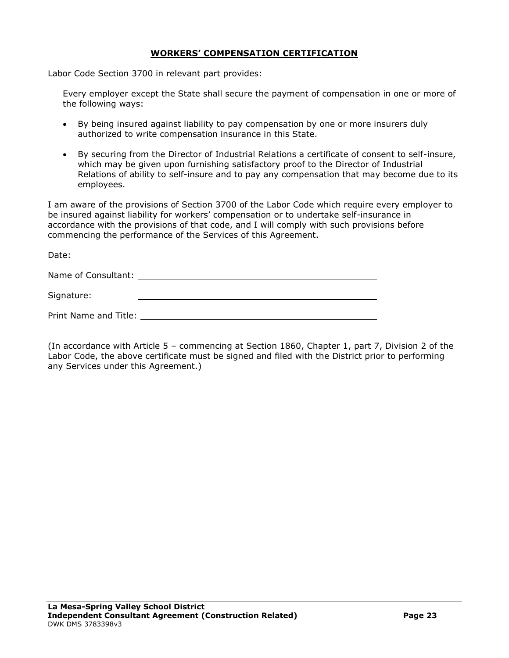### **WORKERS' COMPENSATION CERTIFICATION**

Labor Code Section 3700 in relevant part provides:

Every employer except the State shall secure the payment of compensation in one or more of the following ways:

- By being insured against liability to pay compensation by one or more insurers duly authorized to write compensation insurance in this State.
- By securing from the Director of Industrial Relations a certificate of consent to self-insure, which may be given upon furnishing satisfactory proof to the Director of Industrial Relations of ability to self-insure and to pay any compensation that may become due to its employees.

I am aware of the provisions of Section 3700 of the Labor Code which require every employer to be insured against liability for workers' compensation or to undertake self-insurance in accordance with the provisions of that code, and I will comply with such provisions before commencing the performance of the Services of this Agreement.

| Date:                 |                                               |
|-----------------------|-----------------------------------------------|
|                       | Name of Consultant: University of Consultant: |
| Signature:            |                                               |
| Print Name and Title: |                                               |

(In accordance with Article 5 – commencing at Section 1860, Chapter 1, part 7, Division 2 of the Labor Code, the above certificate must be signed and filed with the District prior to performing any Services under this Agreement.)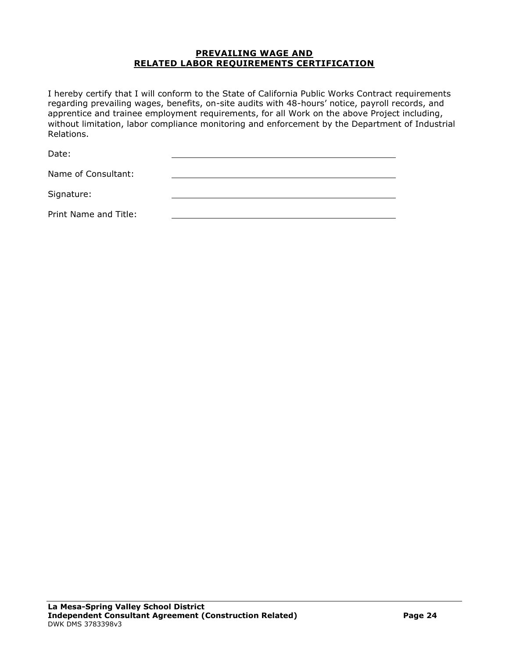#### **PREVAILING WAGE AND RELATED LABOR REQUIREMENTS CERTIFICATION**

I hereby certify that I will conform to the State of California Public Works Contract requirements regarding prevailing wages, benefits, on-site audits with 48-hours' notice, payroll records, and apprentice and trainee employment requirements, for all Work on the above Project including, without limitation, labor compliance monitoring and enforcement by the Department of Industrial Relations.

Date:

| Name of Consultant:   |  |
|-----------------------|--|
| Signature:            |  |
| Print Name and Title: |  |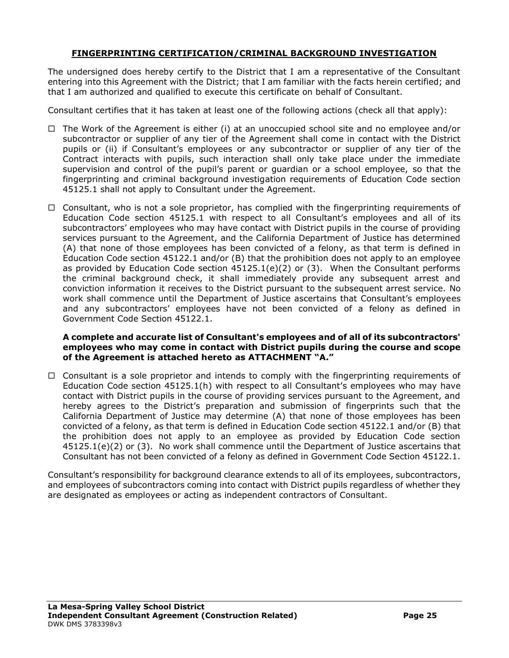### **FINGERPRINTING CERTIFICATION/CRIMINAL BACKGROUND INVESTIGATION**

The undersigned does hereby certify to the District that I am a representative of the Consultant entering into this Agreement with the District; that I am familiar with the facts herein certified; and that I am authorized and qualified to execute this certificate on behalf of Consultant.

Consultant certifies that it has taken at least one of the following actions (check all that apply):

- $\Box$  The Work of the Agreement is either (i) at an unoccupied school site and no employee and/or subcontractor or supplier of any tier of the Agreement shall come in contact with the District pupils or (ii) if Consultant's employees or any subcontractor or supplier of any tier of the Contract interacts with pupils, such interaction shall only take place under the immediate supervision and control of the pupil's parent or guardian or a school employee, so that the fingerprinting and criminal background investigation requirements of Education Code section 45125.1 shall not apply to Consultant under the Agreement.
- $\Box$  Consultant, who is not a sole proprietor, has complied with the fingerprinting requirements of Education Code section 45125.1 with respect to all Consultant's employees and all of its subcontractors' employees who may have contact with District pupils in the course of providing services pursuant to the Agreement, and the California Department of Justice has determined (A) that none of those employees has been convicted of a felony, as that term is defined in Education Code section 45122.1 and/or (B) that the prohibition does not apply to an employee as provided by Education Code section  $45125.1(e)(2)$  or (3). When the Consultant performs the criminal background check, it shall immediately provide any subsequent arrest and conviction information it receives to the District pursuant to the subsequent arrest service. No work shall commence until the Department of Justice ascertains that Consultant's employees and any subcontractors' employees have not been convicted of a felony as defined in Government Code Section 45122.1.

#### **A complete and accurate list of Consultant's employees and of all of its subcontractors' employees who may come in contact with District pupils during the course and scope of the Agreement is attached hereto as ATTACHMENT "A."**

 $\Box$  Consultant is a sole proprietor and intends to comply with the fingerprinting requirements of Education Code section 45125.1(h) with respect to all Consultant's employees who may have contact with District pupils in the course of providing services pursuant to the Agreement, and hereby agrees to the District's preparation and submission of fingerprints such that the California Department of Justice may determine (A) that none of those employees has been convicted of a felony, as that term is defined in Education Code section 45122.1 and/or (B) that the prohibition does not apply to an employee as provided by Education Code section 45125.1(e)(2) or (3). No work shall commence until the Department of Justice ascertains that Consultant has not been convicted of a felony as defined in Government Code Section 45122.1.

Consultant's responsibility for background clearance extends to all of its employees, subcontractors, and employees of subcontractors coming into contact with District pupils regardless of whether they are designated as employees or acting as independent contractors of Consultant.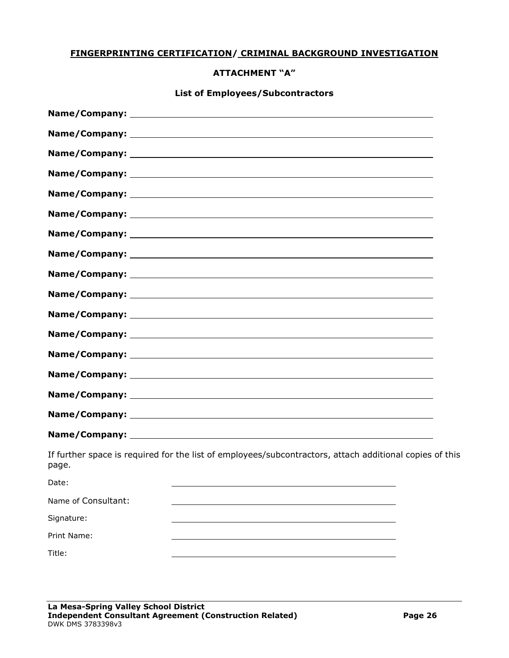### **FINGERPRINTING CERTIFICATION/ CRIMINAL BACKGROUND INVESTIGATION**

#### **ATTACHMENT "A"**

# **List of Employees/Subcontractors**

| page.               | If further space is required for the list of employees/subcontractors, attach additional copies of this |  |
|---------------------|---------------------------------------------------------------------------------------------------------|--|
| Date:               |                                                                                                         |  |
| Name of Consultant: |                                                                                                         |  |
| Signature:          |                                                                                                         |  |
| Print Name:         |                                                                                                         |  |
| Title:              |                                                                                                         |  |